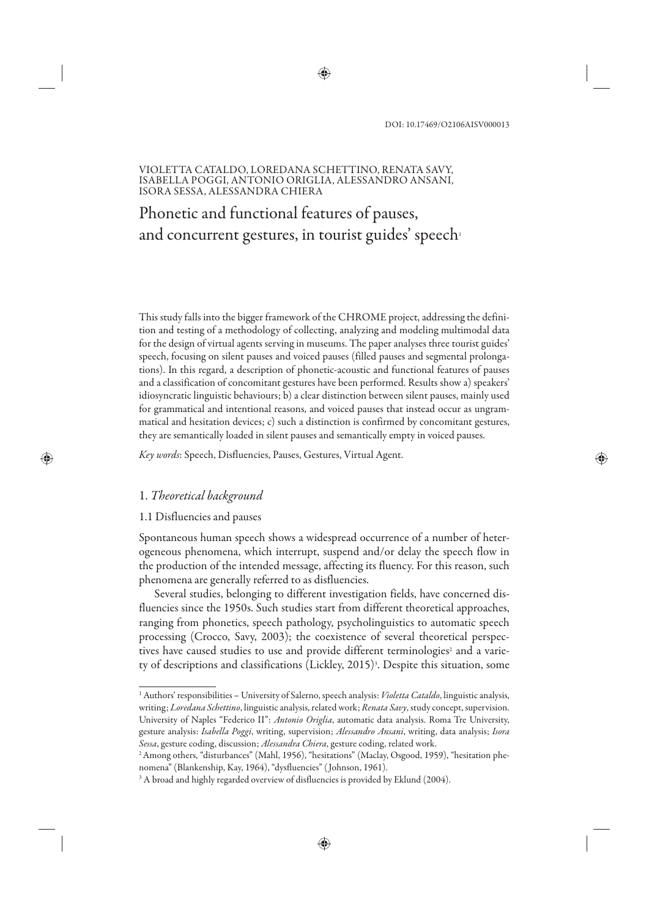#### VIOLETTA CATALDO, LOREDANA SCHETTINO, RENATA SAVY, ISABELLA POGGI, ANTONIO ORIGLIA, ALESSANDRO ANSANI, ISORA SESSA, ALESSANDRA CHIERA

# Phonetic and functional features of pauses, and concurrent gestures, in tourist guides' speech

This study falls into the bigger framework of the CHROME project, addressing the definition and testing of a methodology of collecting, analyzing and modeling multimodal data for the design of virtual agents serving in museums. The paper analyses three tourist guides' speech, focusing on silent pauses and voiced pauses (filled pauses and segmental prolongations). In this regard, a description of phonetic-acoustic and functional features of pauses and a classification of concomitant gestures have been performed. Results show a) speakers' idiosyncratic linguistic behaviours; b) a clear distinction between silent pauses, mainly used for grammatical and intentional reasons, and voiced pauses that instead occur as ungrammatical and hesitation devices; c) such a distinction is confirmed by concomitant gestures, they are semantically loaded in silent pauses and semantically empty in voiced pauses.

*Key words*: Speech, Disfluencies, Pauses, Gestures, Virtual Agent.

### 1. *Theoretical background*

#### 1.1 Disfluencies and pauses

Spontaneous human speech shows a widespread occurrence of a number of heterogeneous phenomena, which interrupt, suspend and/or delay the speech flow in the production of the intended message, affecting its fluency. For this reason, such phenomena are generally referred to as disfluencies.

Several studies, belonging to different investigation fields, have concerned disfluencies since the 1950s. Such studies start from different theoretical approaches, ranging from phonetics, speech pathology, psycholinguistics to automatic speech processing (Crocco, Savy, 2003); the coexistence of several theoretical perspectives have caused studies to use and provide different terminologies<sup>2</sup> and a variety of descriptions and classifications (Lickley, 2015)<sup>3</sup>. Despite this situation, some

<sup>1</sup> Authors' responsibilities – University of Salerno, speech analysis: *Violetta Cataldo*, linguistic analysis, writing; *Loredana Schettino*, linguistic analysis, related work; *Renata Savy*, study concept, supervision. University of Naples "Federico II": *Antonio Origlia*, automatic data analysis. Roma Tre University, gesture analysis: *Isabella Poggi*, writing, supervision; *Alessandro Ansani*, writing, data analysis; *Isora Sessa*, gesture coding, discussion; *Alessandra Chiera*, gesture coding, related work.

<sup>2</sup>Among others, "disturbances" (Mahl, 1956), "hesitations" (Maclay, Osgood, 1959), "hesitation phenomena" (Blankenship, Kay, 1964), "dysfluencies" ( Johnson, 1961).

 $^3$  A broad and highly regarded overview of disfluencies is provided by Eklund (2004).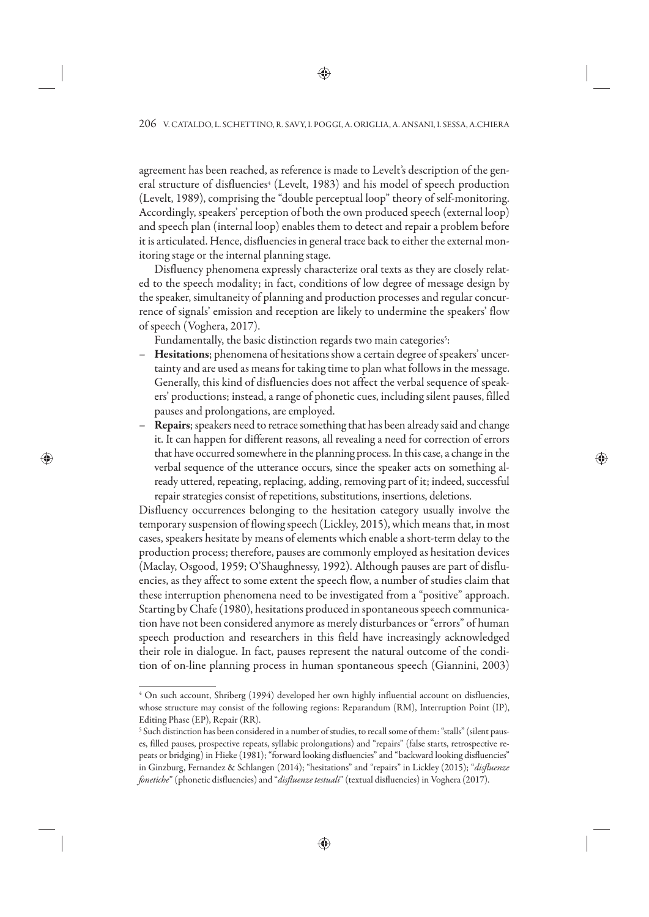agreement has been reached, as reference is made to Levelt's description of the general structure of disfluencies<sup>4</sup> (Levelt, 1983) and his model of speech production (Levelt, 1989), comprising the "double perceptual loop" theory of self-monitoring. Accordingly, speakers' perception of both the own produced speech (external loop) and speech plan (internal loop) enables them to detect and repair a problem before it is articulated. Hence, disfluencies in general trace back to either the external monitoring stage or the internal planning stage.

Disfluency phenomena expressly characterize oral texts as they are closely related to the speech modality; in fact, conditions of low degree of message design by the speaker, simultaneity of planning and production processes and regular concurrence of signals' emission and reception are likely to undermine the speakers' flow of speech (Voghera, 2017).

Fundamentally, the basic distinction regards two main categories<sup>5</sup>:

- **Hesitations**; phenomena of hesitations show a certain degree of speakers' uncertainty and are used as means for taking time to plan what follows in the message. Generally, this kind of disfluencies does not affect the verbal sequence of speakers' productions; instead, a range of phonetic cues, including silent pauses, filled pauses and prolongations, are employed.
- **Repairs**; speakers need to retrace something that has been already said and change it. It can happen for different reasons, all revealing a need for correction of errors that have occurred somewhere in the planning process. In this case, a change in the verbal sequence of the utterance occurs, since the speaker acts on something already uttered, repeating, replacing, adding, removing part of it; indeed, successful repair strategies consist of repetitions, substitutions, insertions, deletions.

Disfluency occurrences belonging to the hesitation category usually involve the temporary suspension of flowing speech (Lickley, 2015), which means that, in most cases, speakers hesitate by means of elements which enable a short-term delay to the production process; therefore, pauses are commonly employed as hesitation devices (Maclay, Osgood, 1959; O'Shaughnessy, 1992). Although pauses are part of disfluencies, as they affect to some extent the speech flow, a number of studies claim that these interruption phenomena need to be investigated from a "positive" approach. Starting by Chafe (1980), hesitations produced in spontaneous speech communication have not been considered anymore as merely disturbances or "errors" of human speech production and researchers in this field have increasingly acknowledged their role in dialogue. In fact, pauses represent the natural outcome of the condition of on-line planning process in human spontaneous speech (Giannini, 2003)

<sup>4</sup> On such account, Shriberg (1994) developed her own highly influential account on disfluencies, whose structure may consist of the following regions: Reparandum (RM), Interruption Point (IP), Editing Phase (EP), Repair (RR).

<sup>5</sup> Such distinction has been considered in a number of studies, to recall some of them: "stalls" (silent pauses, filled pauses, prospective repeats, syllabic prolongations) and "repairs" (false starts, retrospective repeats or bridging) in Hieke (1981); "forward looking disfluencies" and "backward looking disfluencies" in Ginzburg, Fernandez & Schlangen (2014); "hesitations" and "repairs" in Lickley (2015); "*disfluenze fonetiche*" (phonetic disfluencies) and "*disfluenze testuali*" (textual disfluencies) in Voghera (2017).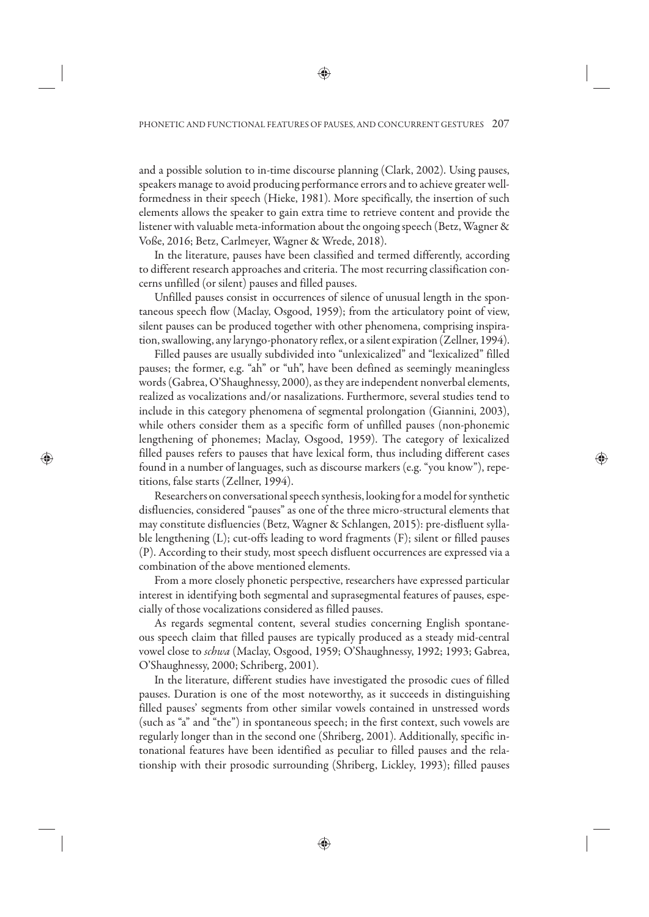and a possible solution to in-time discourse planning (Clark, 2002). Using pauses, speakers manage to avoid producing performance errors and to achieve greater wellformedness in their speech (Hieke, 1981). More specifically, the insertion of such elements allows the speaker to gain extra time to retrieve content and provide the listener with valuable meta-information about the ongoing speech (Betz, Wagner & Voße, 2016; Betz, Carlmeyer, Wagner & Wrede, 2018).

In the literature, pauses have been classified and termed differently, according to different research approaches and criteria. The most recurring classification concerns unfilled (or silent) pauses and filled pauses.

Unfilled pauses consist in occurrences of silence of unusual length in the spontaneous speech flow (Maclay, Osgood, 1959); from the articulatory point of view, silent pauses can be produced together with other phenomena, comprising inspiration, swallowing, any laryngo-phonatory reflex, or a silent expiration (Zellner, 1994).

Filled pauses are usually subdivided into "unlexicalized" and "lexicalized" filled pauses; the former, e.g. "ah" or "uh", have been defined as seemingly meaningless words (Gabrea, O'Shaughnessy, 2000), as they are independent nonverbal elements, realized as vocalizations and/or nasalizations. Furthermore, several studies tend to include in this category phenomena of segmental prolongation (Giannini, 2003), while others consider them as a specific form of unfilled pauses (non-phonemic lengthening of phonemes; Maclay, Osgood, 1959). The category of lexicalized filled pauses refers to pauses that have lexical form, thus including different cases found in a number of languages, such as discourse markers (e.g. "you know"), repetitions, false starts (Zellner, 1994).

Researchers on conversational speech synthesis, looking for a model for synthetic disfluencies, considered "pauses" as one of the three micro-structural elements that may constitute disfluencies (Betz, Wagner & Schlangen, 2015): pre-disfluent syllable lengthening (L); cut-offs leading to word fragments (F); silent or filled pauses (P). According to their study, most speech disfluent occurrences are expressed via a combination of the above mentioned elements.

From a more closely phonetic perspective, researchers have expressed particular interest in identifying both segmental and suprasegmental features of pauses, especially of those vocalizations considered as filled pauses.

As regards segmental content, several studies concerning English spontaneous speech claim that filled pauses are typically produced as a steady mid-central vowel close to *schwa* (Maclay, Osgood, 1959; O'Shaughnessy, 1992; 1993; Gabrea, O'Shaughnessy, 2000; Schriberg, 2001).

In the literature, different studies have investigated the prosodic cues of filled pauses. Duration is one of the most noteworthy, as it succeeds in distinguishing filled pauses' segments from other similar vowels contained in unstressed words (such as "a" and "the") in spontaneous speech; in the first context, such vowels are regularly longer than in the second one (Shriberg, 2001). Additionally, specific intonational features have been identified as peculiar to filled pauses and the relationship with their prosodic surrounding (Shriberg, Lickley, 1993); filled pauses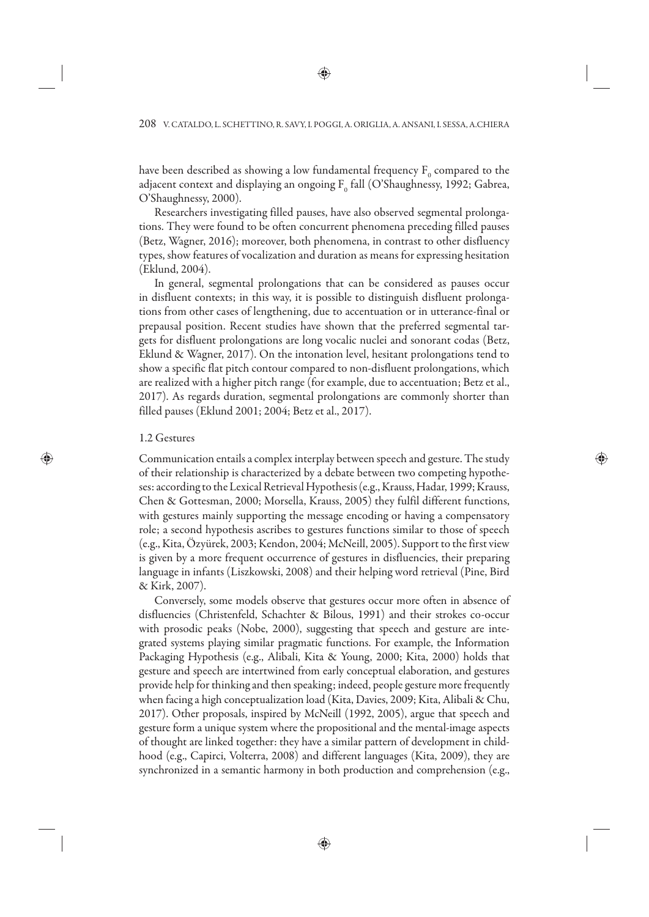have been described as showing a low fundamental frequency  $\mathrm{F_{0}}$  compared to the adjacent context and displaying an ongoing  $F_{0}$  fall (O'Shaughnessy, 1992; Gabrea, O'Shaughnessy, 2000).

Researchers investigating filled pauses, have also observed segmental prolongations. They were found to be often concurrent phenomena preceding filled pauses (Betz, Wagner, 2016); moreover, both phenomena, in contrast to other disfluency types, show features of vocalization and duration as means for expressing hesitation (Eklund, 2004).

In general, segmental prolongations that can be considered as pauses occur in disfluent contexts; in this way, it is possible to distinguish disfluent prolongations from other cases of lengthening, due to accentuation or in utterance-final or prepausal position. Recent studies have shown that the preferred segmental targets for disfluent prolongations are long vocalic nuclei and sonorant codas (Betz, Eklund & Wagner, 2017). On the intonation level, hesitant prolongations tend to show a specific flat pitch contour compared to non-disfluent prolongations, which are realized with a higher pitch range (for example, due to accentuation; Betz et al., 2017). As regards duration, segmental prolongations are commonly shorter than filled pauses (Eklund 2001; 2004; Betz et al., 2017).

#### 1.2 Gestures

Communication entails a complex interplay between speech and gesture. The study of their relationship is characterized by a debate between two competing hypotheses: according to the Lexical Retrieval Hypothesis (e.g., Krauss, Hadar, 1999; Krauss, Chen & Gottesman, 2000; Morsella, Krauss, 2005) they fulfil different functions, with gestures mainly supporting the message encoding or having a compensatory role; a second hypothesis ascribes to gestures functions similar to those of speech (e.g., Kita, Özyürek, 2003; Kendon, 2004; McNeill, 2005). Support to the first view is given by a more frequent occurrence of gestures in disfluencies, their preparing language in infants (Liszkowski, 2008) and their helping word retrieval (Pine, Bird & Kirk, 2007).

Conversely, some models observe that gestures occur more often in absence of disfluencies (Christenfeld, Schachter & Bilous, 1991) and their strokes co-occur with prosodic peaks (Nobe, 2000), suggesting that speech and gesture are integrated systems playing similar pragmatic functions. For example, the Information Packaging Hypothesis (e.g., Alibali, Kita & Young, 2000; Kita, 2000) holds that gesture and speech are intertwined from early conceptual elaboration, and gestures provide help for thinking and then speaking; indeed, people gesture more frequently when facing a high conceptualization load (Kita, Davies, 2009; Kita, Alibali & Chu, 2017). Other proposals, inspired by McNeill (1992, 2005), argue that speech and gesture form a unique system where the propositional and the mental-image aspects of thought are linked together: they have a similar pattern of development in childhood (e.g., Capirci, Volterra, 2008) and different languages (Kita, 2009), they are synchronized in a semantic harmony in both production and comprehension (e.g.,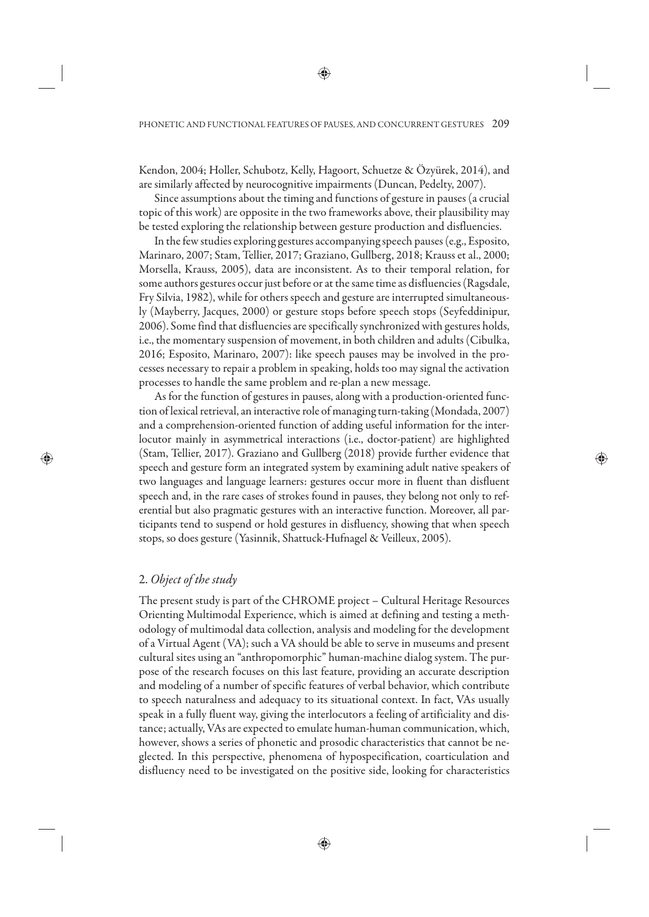Kendon, 2004; Holler, Schubotz, Kelly, Hagoort, Schuetze & Özyürek, 2014), and are similarly affected by neurocognitive impairments (Duncan, Pedelty, 2007).

Since assumptions about the timing and functions of gesture in pauses (a crucial topic of this work) are opposite in the two frameworks above, their plausibility may be tested exploring the relationship between gesture production and disfluencies.

In the few studies exploring gestures accompanying speech pauses (e.g., Esposito, Marinaro, 2007; Stam, Tellier, 2017; Graziano, Gullberg, 2018; Krauss et al., 2000; Morsella, Krauss, 2005), data are inconsistent. As to their temporal relation, for some authors gestures occur just before or at the same time as disfluencies (Ragsdale, Fry Silvia, 1982), while for others speech and gesture are interrupted simultaneously (Mayberry, Jacques, 2000) or gesture stops before speech stops (Seyfeddinipur, 2006). Some find that disfluencies are specifically synchronized with gestures holds, i.e., the momentary suspension of movement, in both children and adults (Cibulka, 2016; Esposito, Marinaro, 2007): like speech pauses may be involved in the processes necessary to repair a problem in speaking, holds too may signal the activation processes to handle the same problem and re-plan a new message.

As for the function of gestures in pauses, along with a production-oriented function of lexical retrieval, an interactive role of managing turn-taking (Mondada, 2007) and a comprehension-oriented function of adding useful information for the interlocutor mainly in asymmetrical interactions (i.e., doctor-patient) are highlighted (Stam, Tellier, 2017). Graziano and Gullberg (2018) provide further evidence that speech and gesture form an integrated system by examining adult native speakers of two languages and language learners: gestures occur more in fluent than disfluent speech and, in the rare cases of strokes found in pauses, they belong not only to referential but also pragmatic gestures with an interactive function. Moreover, all participants tend to suspend or hold gestures in disfluency, showing that when speech stops, so does gesture (Yasinnik, Shattuck-Hufnagel & Veilleux, 2005).

### 2. *Object of the study*

The present study is part of the CHROME project – Cultural Heritage Resources Orienting Multimodal Experience, which is aimed at defining and testing a methodology of multimodal data collection, analysis and modeling for the development of a Virtual Agent (VA); such a VA should be able to serve in museums and present cultural sites using an "anthropomorphic" human-machine dialog system. The purpose of the research focuses on this last feature, providing an accurate description and modeling of a number of specific features of verbal behavior, which contribute to speech naturalness and adequacy to its situational context. In fact, VAs usually speak in a fully fluent way, giving the interlocutors a feeling of artificiality and distance; actually, VAs are expected to emulate human-human communication, which, however, shows a series of phonetic and prosodic characteristics that cannot be neglected. In this perspective, phenomena of hypospecification, coarticulation and disfluency need to be investigated on the positive side, looking for characteristics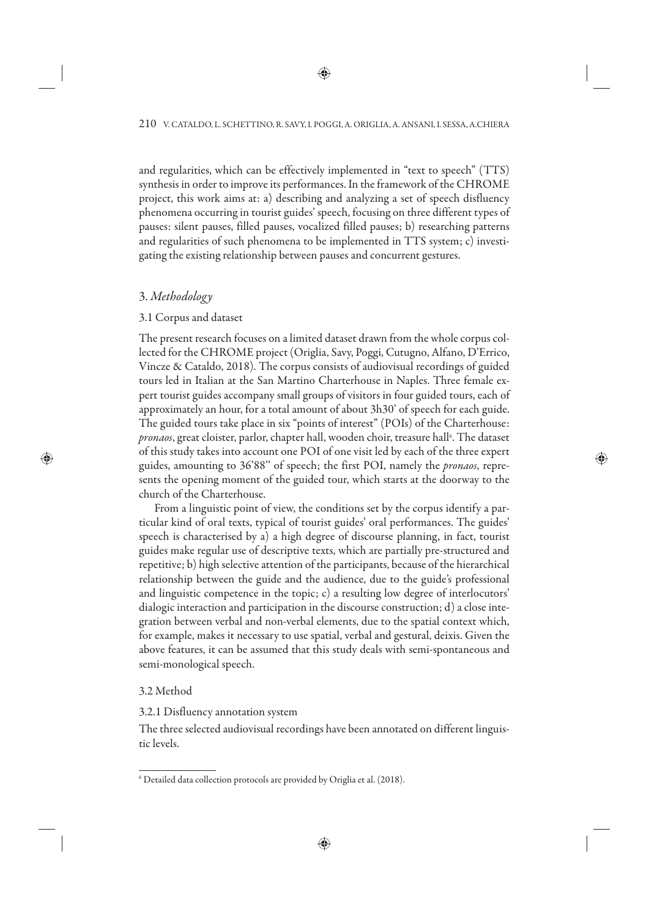and regularities, which can be effectively implemented in "text to speech" (TTS) synthesis in order to improve its performances. In the framework of the CHROME project, this work aims at: a) describing and analyzing a set of speech disfluency phenomena occurring in tourist guides' speech, focusing on three different types of pauses: silent pauses, filled pauses, vocalized filled pauses; b) researching patterns and regularities of such phenomena to be implemented in TTS system; c) investigating the existing relationship between pauses and concurrent gestures.

# 3. *Methodology*

# 3.1 Corpus and dataset

The present research focuses on a limited dataset drawn from the whole corpus collected for the CHROME project (Origlia, Savy, Poggi, Cutugno, Alfano, D'Errico, Vincze & Cataldo, 2018). The corpus consists of audiovisual recordings of guided tours led in Italian at the San Martino Charterhouse in Naples. Three female expert tourist guides accompany small groups of visitors in four guided tours, each of approximately an hour, for a total amount of about 3h30' of speech for each guide. The guided tours take place in six "points of interest" (POIs) of the Charterhouse: pronaos, great cloister, parlor, chapter hall, wooden choir, treasure hall<sup>6</sup>. The dataset of this study takes into account one POI of one visit led by each of the three expert guides, amounting to 36'88'' of speech; the first POI, namely the *pronaos*, represents the opening moment of the guided tour, which starts at the doorway to the church of the Charterhouse.

From a linguistic point of view, the conditions set by the corpus identify a particular kind of oral texts, typical of tourist guides' oral performances. The guides' speech is characterised by a) a high degree of discourse planning, in fact, tourist guides make regular use of descriptive texts, which are partially pre-structured and repetitive; b) high selective attention of the participants, because of the hierarchical relationship between the guide and the audience, due to the guide's professional and linguistic competence in the topic; c) a resulting low degree of interlocutors' dialogic interaction and participation in the discourse construction; d) a close integration between verbal and non-verbal elements, due to the spatial context which, for example, makes it necessary to use spatial, verbal and gestural, deixis. Given the above features, it can be assumed that this study deals with semi-spontaneous and semi-monological speech.

# 3.2 Method

## 3.2.1 Disfluency annotation system

The three selected audiovisual recordings have been annotated on different linguistic levels.

 $^6$  Detailed data collection protocols are provided by Origlia et al. (2018).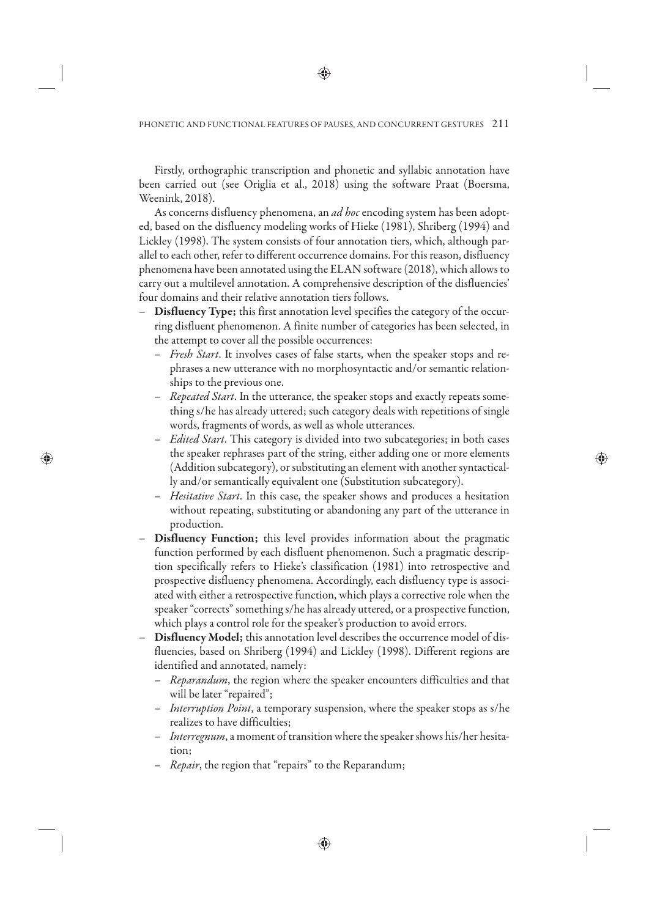Firstly, orthographic transcription and phonetic and syllabic annotation have been carried out (see Origlia et al., 2018) using the software Praat (Boersma, Weenink, 2018).

As concerns disfluency phenomena, an *ad hoc* encoding system has been adopted, based on the disfluency modeling works of Hieke (1981), Shriberg (1994) and Lickley (1998). The system consists of four annotation tiers, which, although parallel to each other, refer to different occurrence domains. For this reason, disfluency phenomena have been annotated using the ELAN software (2018), which allows to carry out a multilevel annotation. A comprehensive description of the disfluencies' four domains and their relative annotation tiers follows.

- **Disfluency Type;** this first annotation level specifies the category of the occurring disfluent phenomenon. A finite number of categories has been selected, in the attempt to cover all the possible occurrences:
	- *Fresh Start*. It involves cases of false starts, when the speaker stops and rephrases a new utterance with no morphosyntactic and/or semantic relationships to the previous one.
	- *Repeated Start*. In the utterance, the speaker stops and exactly repeats something s/he has already uttered; such category deals with repetitions of single words, fragments of words, as well as whole utterances.
	- *Edited Start*. This category is divided into two subcategories; in both cases the speaker rephrases part of the string, either adding one or more elements (Addition subcategory), or substituting an element with another syntactically and/or semantically equivalent one (Substitution subcategory).
	- *Hesitative Start*. In this case, the speaker shows and produces a hesitation without repeating, substituting or abandoning any part of the utterance in production.
- **Disfluency Function;** this level provides information about the pragmatic function performed by each disfluent phenomenon. Such a pragmatic description specifically refers to Hieke's classification (1981) into retrospective and prospective disfluency phenomena. Accordingly, each disfluency type is associated with either a retrospective function, which plays a corrective role when the speaker "corrects" something s/he has already uttered, or a prospective function, which plays a control role for the speaker's production to avoid errors.
- **Disfluency Model;** this annotation level describes the occurrence model of disfluencies, based on Shriberg (1994) and Lickley (1998). Different regions are identified and annotated, namely:
	- *Reparandum*, the region where the speaker encounters difficulties and that will be later "repaired";
	- *Interruption Point*, a temporary suspension, where the speaker stops as s/he realizes to have difficulties;
	- *Interregnum*, a moment of transition where the speaker shows his/her hesitation;
	- *Repair*, the region that "repairs" to the Reparandum;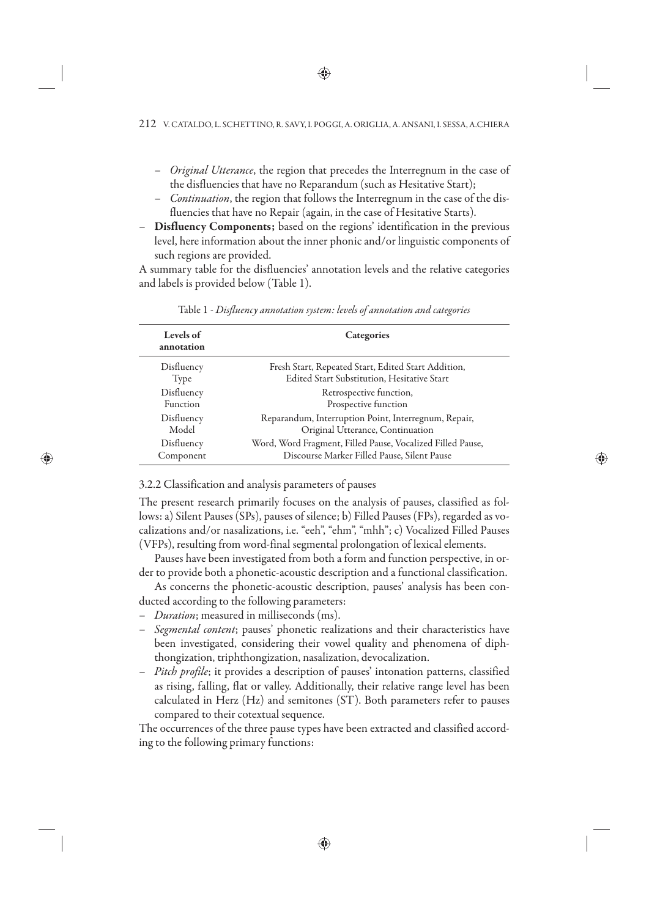- *Original Utterance*, the region that precedes the Interregnum in the case of the disfluencies that have no Reparandum (such as Hesitative Start);
- *Continuation*, the region that follows the Interregnum in the case of the disfluencies that have no Repair (again, in the case of Hesitative Starts).
- **Disfluency Components;** based on the regions' identification in the previous level, here information about the inner phonic and/or linguistic components of such regions are provided.

A summary table for the disfluencies' annotation levels and the relative categories and labels is provided below (Table 1).

| Levels of<br>annotation | Categories                                                 |
|-------------------------|------------------------------------------------------------|
| Disfluency              | Fresh Start, Repeated Start, Edited Start Addition,        |
| Type                    | Edited Start Substitution, Hesitative Start                |
| Disfluency              | Retrospective function,                                    |
| Function                | Prospective function                                       |
| Disfluency              | Reparandum, Interruption Point, Interregnum, Repair,       |
| Model                   | Original Utterance, Continuation                           |
| Disfluency              | Word, Word Fragment, Filled Pause, Vocalized Filled Pause, |
| Component               | Discourse Marker Filled Pause, Silent Pause                |

Table 1 - *Disfluency annotation system: levels of annotation and categories*

3.2.2 Classification and analysis parameters of pauses

The present research primarily focuses on the analysis of pauses, classified as follows: a) Silent Pauses (SPs), pauses of silence; b) Filled Pauses (FPs), regarded as vocalizations and/or nasalizations, i.e. "eeh", "ehm", "mhh"; c) Vocalized Filled Pauses (VFPs), resulting from word-final segmental prolongation of lexical elements.

Pauses have been investigated from both a form and function perspective, in order to provide both a phonetic-acoustic description and a functional classification.

As concerns the phonetic-acoustic description, pauses' analysis has been conducted according to the following parameters:

- *Duration*; measured in milliseconds (ms).
- *Segmental content*; pauses' phonetic realizations and their characteristics have been investigated, considering their vowel quality and phenomena of diphthongization, triphthongization, nasalization, devocalization.
- *Pitch profile*; it provides a description of pauses' intonation patterns, classified as rising, falling, flat or valley. Additionally, their relative range level has been calculated in Herz (Hz) and semitones (ST). Both parameters refer to pauses compared to their cotextual sequence.

The occurrences of the three pause types have been extracted and classified according to the following primary functions: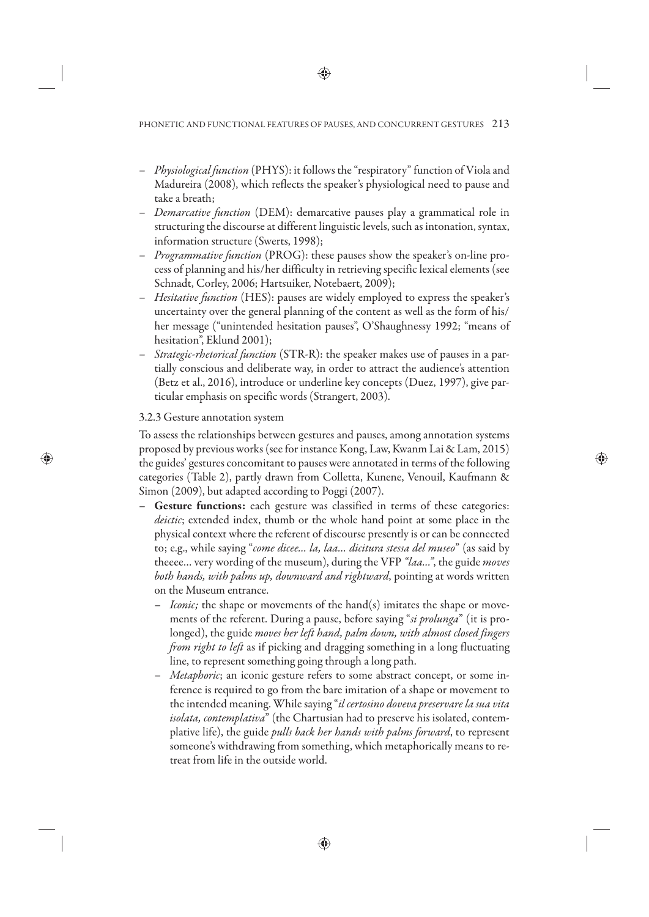- *Physiological function* (PHYS): it follows the "respiratory" function of Viola and Madureira (2008), which reflects the speaker's physiological need to pause and take a breath;
- *Demarcative function* (DEM): demarcative pauses play a grammatical role in structuring the discourse at different linguistic levels, such as intonation, syntax, information structure (Swerts, 1998);
- *Programmative function* (PROG): these pauses show the speaker's on-line process of planning and his/her difficulty in retrieving specific lexical elements (see Schnadt, Corley, 2006; Hartsuiker, Notebaert, 2009);
- *Hesitative function* (HES): pauses are widely employed to express the speaker's uncertainty over the general planning of the content as well as the form of his/ her message ("unintended hesitation pauses", O'Shaughnessy 1992; "means of hesitation", Eklund 2001);
- *Strategic-rhetorical function* (STR-R): the speaker makes use of pauses in a partially conscious and deliberate way, in order to attract the audience's attention (Betz et al., 2016), introduce or underline key concepts (Duez, 1997), give particular emphasis on specific words (Strangert, 2003).

# 3.2.3 Gesture annotation system

To assess the relationships between gestures and pauses, among annotation systems proposed by previous works (see for instance Kong, Law, Kwanm Lai & Lam, 2015) the guides' gestures concomitant to pauses were annotated in terms of the following categories (Table 2), partly drawn from Colletta, Kunene, Venouil, Kaufmann & Simon (2009), but adapted according to Poggi (2007).

- **Gesture functions:** each gesture was classified in terms of these categories: *deictic*; extended index, thumb or the whole hand point at some place in the physical context where the referent of discourse presently is or can be connected to; e.g., while saying "*come dicee… la, laa… dicitura stessa del museo*" (as said by theeee… very wording of the museum), during the VFP *"laa…"*, the guide *moves both hands, with palms up, downward and rightward*, pointing at words written on the Museum entrance.
	- *Iconic;* the shape or movements of the hand(s) imitates the shape or movements of the referent. During a pause, before saying "*si prolunga*" (it is prolonged), the guide *moves her left hand, palm down, with almost closed fingers from right to left* as if picking and dragging something in a long fluctuating line, to represent something going through a long path.
	- *Metaphoric*; an iconic gesture refers to some abstract concept, or some inference is required to go from the bare imitation of a shape or movement to the intended meaning. While saying "*il certosino doveva preservare la sua vita isolata, contemplativa*" (the Chartusian had to preserve his isolated, contemplative life), the guide *pulls back her hands with palms forward*, to represent someone's withdrawing from something, which metaphorically means to retreat from life in the outside world.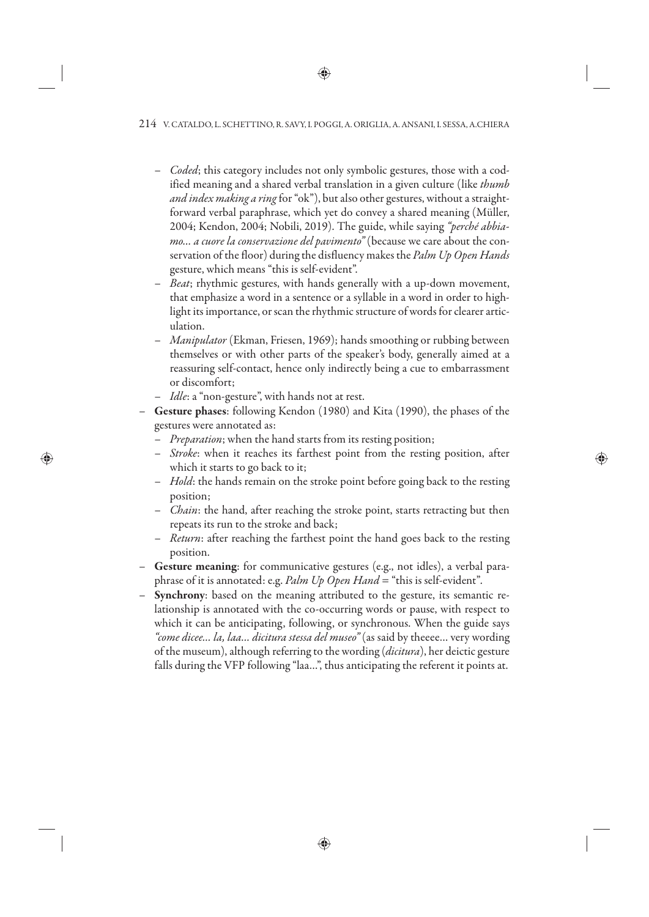- *Coded*; this category includes not only symbolic gestures, those with a codified meaning and a shared verbal translation in a given culture (like *thumb and index making a ring* for "ok"), but also other gestures, without a straightforward verbal paraphrase, which yet do convey a shared meaning (Müller, 2004; Kendon, 2004; Nobili, 2019). The guide, while saying *"perché abbiamo… a cuore la conservazione del pavimento"* (because we care about the conservation of the floor) during the disfluency makes the *Palm Up Open Hands* gesture, which means "this is self-evident".
- *Beat*; rhythmic gestures, with hands generally with a up-down movement, that emphasize a word in a sentence or a syllable in a word in order to highlight its importance, or scan the rhythmic structure of words for clearer articulation.
- *Manipulator* (Ekman, Friesen, 1969); hands smoothing or rubbing between themselves or with other parts of the speaker's body, generally aimed at a reassuring self-contact, hence only indirectly being a cue to embarrassment or discomfort;
- *Idle*: a "non-gesture", with hands not at rest.
- **Gesture phases**: following Kendon (1980) and Kita (1990), the phases of the gestures were annotated as:
	- *Preparation*; when the hand starts from its resting position;
	- *Stroke*: when it reaches its farthest point from the resting position, after which it starts to go back to it;
	- *Hold*: the hands remain on the stroke point before going back to the resting position;
	- *Chain*: the hand, after reaching the stroke point, starts retracting but then repeats its run to the stroke and back;
	- *Return*: after reaching the farthest point the hand goes back to the resting position.
- **Gesture meaning**: for communicative gestures (e.g., not idles), a verbal paraphrase of it is annotated: e.g. *Palm Up Open Hand* = "this is self-evident"*.*
- **Synchrony**: based on the meaning attributed to the gesture, its semantic relationship is annotated with the co-occurring words or pause, with respect to which it can be anticipating, following, or synchronous. When the guide says *"come dicee… la, laa… dicitura stessa del museo"* (as said by theeee… very wording of the museum), although referring to the wording (*dicitura*), her deictic gesture falls during the VFP following "laa…", thus anticipating the referent it points at.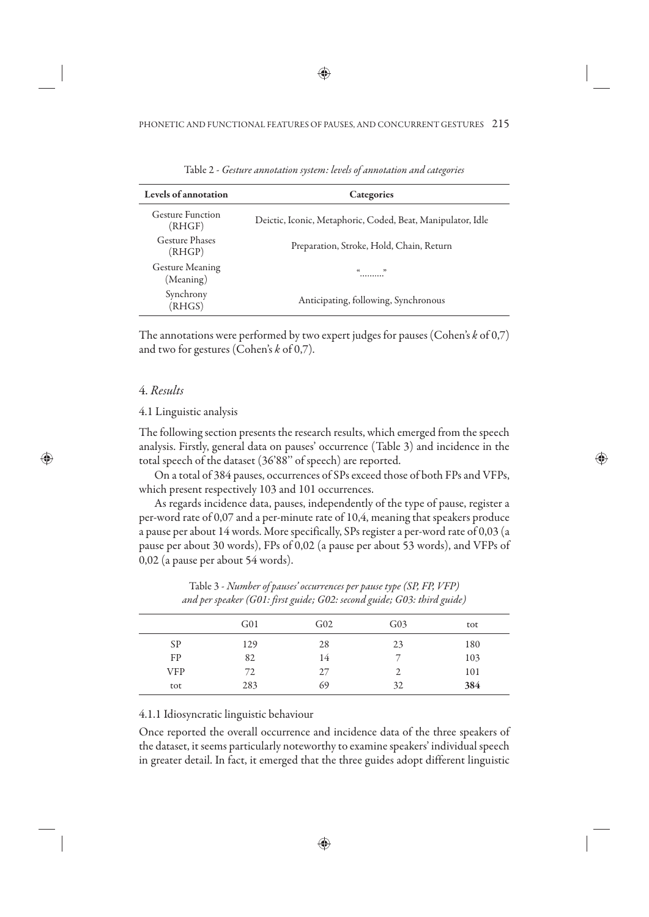| Levels of annotation                | Categories                                                  |
|-------------------------------------|-------------------------------------------------------------|
| Gesture Function<br>(RHGF)          | Deictic, Iconic, Metaphoric, Coded, Beat, Manipulator, Idle |
| Gesture Phases<br>(RHGP)            | Preparation, Stroke, Hold, Chain, Return                    |
| <b>Gesture Meaning</b><br>(Meaning) | $\alpha$<br>$\mathbf{v}$                                    |
| Synchrony<br>(RHGS)                 | Anticipating, following, Synchronous                        |

Table 2 - *Gesture annotation system: levels of annotation and categories* 

The annotations were performed by two expert judges for pauses (Cohen's *k* of 0,7) and two for gestures (Cohen's *k* of 0,7).

### 4. *Results*

#### 4.1 Linguistic analysis

The following section presents the research results, which emerged from the speech analysis. Firstly, general data on pauses' occurrence (Table 3) and incidence in the total speech of the dataset (36'88'' of speech) are reported.

On a total of 384 pauses, occurrences of SPs exceed those of both FPs and VFPs, which present respectively 103 and 101 occurrences.

As regards incidence data, pauses, independently of the type of pause, register a per-word rate of 0,07 and a per-minute rate of 10,4, meaning that speakers produce a pause per about 14 words. More specifically, SPs register a per-word rate of 0,03 (a pause per about 30 words), FPs of 0,02 (a pause per about 53 words), and VFPs of 0,02 (a pause per about 54 words).

|     | __              | $\tilde{}$      | $\sim$ |  |
|-----|-----------------|-----------------|--------|--|
| G01 | G <sub>02</sub> | G <sub>03</sub> | tot    |  |
| 129 | 28              | 23              | 180    |  |
| 82  | 14              | −               | 103    |  |
| 72  | 27              | 2               | 101    |  |
| 283 | 69              | 32              | 384    |  |
|     |                 | . .             |        |  |

Table 3 - *Number of pauses' occurrences per pause type (SP, FP, VFP) and per speaker (G01: first guide; G02: second guide; G03: third guide)*

#### 4.1.1 Idiosyncratic linguistic behaviour

Once reported the overall occurrence and incidence data of the three speakers of the dataset, it seems particularly noteworthy to examine speakers' individual speech in greater detail. In fact, it emerged that the three guides adopt different linguistic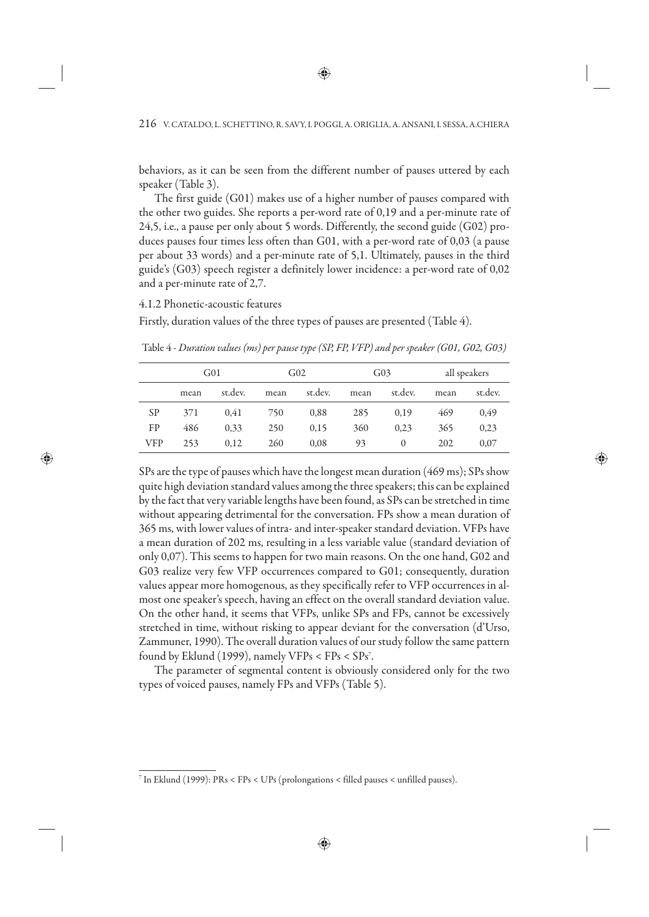behaviors, as it can be seen from the different number of pauses uttered by each speaker (Table 3).

The first guide (G01) makes use of a higher number of pauses compared with the other two guides. She reports a per-word rate of 0,19 and a per-minute rate of 24,5, i.e., a pause per only about 5 words. Differently, the second guide (G02) produces pauses four times less often than G01, with a per-word rate of 0,03 (a pause per about 33 words) and a per-minute rate of 5,1. Ultimately, pauses in the third guide's (G03) speech register a definitely lower incidence: a per-word rate of 0,02 and a per-minute rate of 2,7.

4.1.2 Phonetic-acoustic features

Firstly, duration values of the three types of pauses are presented (Table 4).

|           | G01  |         | G02  |         | G <sub>03</sub> |          | all speakers |         |
|-----------|------|---------|------|---------|-----------------|----------|--------------|---------|
|           | mean | st.dev. | mean | st.dev. | mean            | st.dev.  | mean         | st.dev. |
| <b>SP</b> | 371  | 0.41    | 750  | 0,88    | 285             | 0.19     | 469          | 0,49    |
| FP        | 486  | 0,33    | 250  | 0,15    | 360             | 0.23     | 365          | 0,23    |
| VFP       | 253  | 0.12    | 260  | 0,08    | 93              | $\Omega$ | 202          | 0.07    |

Table 4 - *Duration values (ms) per pause type (SP, FP, VFP) and per speaker (G01, G02, G03)*

SPs are the type of pauses which have the longest mean duration (469 ms); SPs show quite high deviation standard values among the three speakers; this can be explained by the fact that very variable lengths have been found, as SPs can be stretched in time without appearing detrimental for the conversation. FPs show a mean duration of 365 ms, with lower values of intra- and inter-speaker standard deviation. VFPs have a mean duration of 202 ms, resulting in a less variable value (standard deviation of only 0,07). This seems to happen for two main reasons. On the one hand, G02 and G03 realize very few VFP occurrences compared to G01; consequently, duration values appear more homogenous, as they specifically refer to VFP occurrences in almost one speaker's speech, having an effect on the overall standard deviation value. On the other hand, it seems that VFPs, unlike SPs and FPs, cannot be excessively stretched in time, without risking to appear deviant for the conversation (d'Urso, Zammuner, 1990). The overall duration values of our study follow the same pattern found by Eklund (1999), namely VFPs < FPs < SPs7 .

The parameter of segmental content is obviously considered only for the two types of voiced pauses, namely FPs and VFPs (Table 5).

<sup>7</sup> In Eklund (1999): PRs < FPs < UPs (prolongations < filled pauses < unfilled pauses).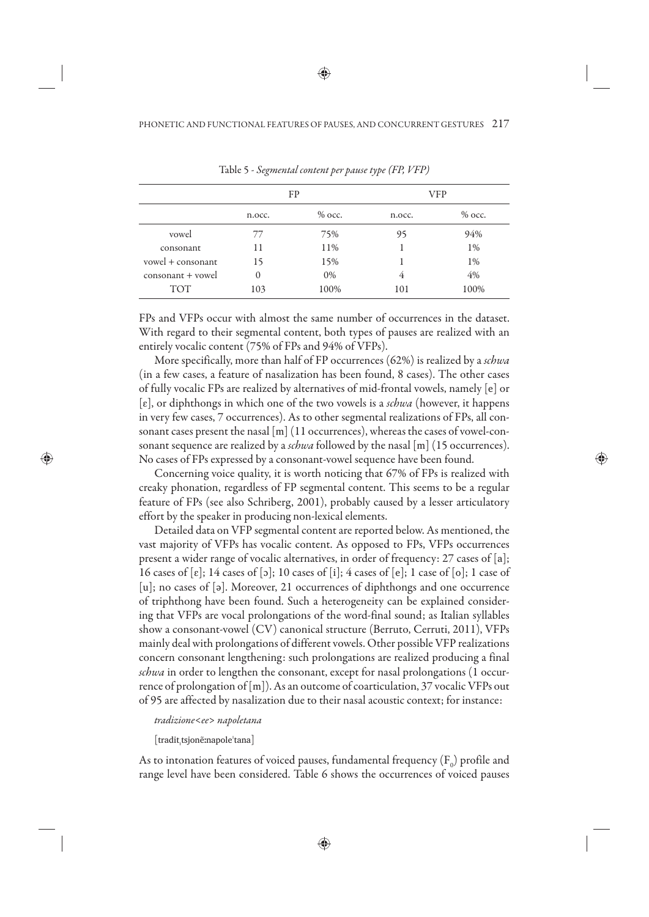|                   |          | FP       | VFP    |          |  |
|-------------------|----------|----------|--------|----------|--|
|                   | n.occ.   | $%$ occ. | n.occ. | $%$ occ. |  |
| yowel             | 77       | 75%      | 95     | 94%      |  |
| consonant         | 11       | 11%      |        | 1%       |  |
| yowel + consonant | 15       | 15%      |        | 1%       |  |
| consonant + vowel | $\Omega$ | 0%       | 4      | 4%       |  |
| <b>TOT</b>        | 103      | 100%     | 101    | 100%     |  |

Table 5 - *Segmental content per pause type (FP, VFP)*

FPs and VFPs occur with almost the same number of occurrences in the dataset. With regard to their segmental content, both types of pauses are realized with an entirely vocalic content (75% of FPs and 94% of VFPs).

More specifically, more than half of FP occurrences (62%) is realized by a *schwa* (in a few cases, a feature of nasalization has been found, 8 cases). The other cases of fully vocalic FPs are realized by alternatives of mid-frontal vowels, namely [e] or [ɛ], or diphthongs in which one of the two vowels is a *schwa* (however, it happens in very few cases, 7 occurrences). As to other segmental realizations of FPs, all consonant cases present the nasal [m] (11 occurrences), whereas the cases of vowel-consonant sequence are realized by a *schwa* followed by the nasal [m] (15 occurrences). No cases of FPs expressed by a consonant-vowel sequence have been found.

Concerning voice quality, it is worth noticing that 67% of FPs is realized with creaky phonation, regardless of FP segmental content. This seems to be a regular feature of FPs (see also Schriberg, 2001), probably caused by a lesser articulatory effort by the speaker in producing non-lexical elements.

Detailed data on VFP segmental content are reported below. As mentioned, the vast majority of VFPs has vocalic content. As opposed to FPs, VFPs occurrences present a wider range of vocalic alternatives, in order of frequency: 27 cases of [a]; 16 cases of  $[\varepsilon]$ ; 14 cases of  $[\circ]$ ; 10 cases of  $[i]$ ; 4 cases of  $[\varepsilon]$ ; 1 case of  $[\circ]$ ; 1 case of [u]; no cases of [ə]. Moreover, 21 occurrences of diphthongs and one occurrence of triphthong have been found. Such a heterogeneity can be explained considering that VFPs are vocal prolongations of the word-final sound; as Italian syllables show a consonant-vowel (CV) canonical structure (Berruto, Cerruti, 2011), VFPs mainly deal with prolongations of different vowels. Other possible VFP realizations concern consonant lengthening: such prolongations are realized producing a final *schwa* in order to lengthen the consonant, except for nasal prolongations (1 occurrence of prolongation of [m]). As an outcome of coarticulation, 37 vocalic VFPs out of 95 are affected by nasalization due to their nasal acoustic context; for instance:

#### *tradizione*<*ee*> *napoletana*

[traditˌtsjonẽːnapoleˈtana]

As to intonation features of voiced pauses, fundamental frequency  $(\text{F}_{\text{o}})$  profile and range level have been considered. Table 6 shows the occurrences of voiced pauses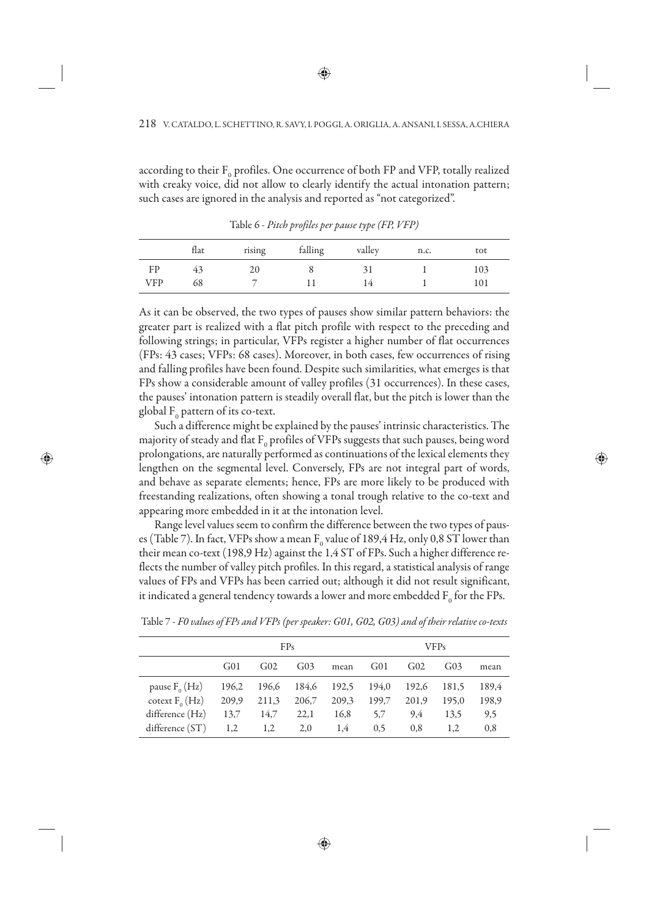according to their  $\mathrm{F}_0$  profiles. One occurrence of both FP and VFP, totally realized with creaky voice, did not allow to clearly identify the actual intonation pattern; such cases are ignored in the analysis and reported as "not categorized".

|            | flat | rising | falling | valley | n.c. | tot |
|------------|------|--------|---------|--------|------|-----|
| FP         | 43   | 20     |         |        |      | 103 |
| <b>VFP</b> | 68   |        |         | 14     |      | 101 |

Table 6 - *Pitch profiles per pause type (FP, VFP)*

As it can be observed, the two types of pauses show similar pattern behaviors: the greater part is realized with a flat pitch profile with respect to the preceding and following strings; in particular, VFPs register a higher number of flat occurrences (FPs: 43 cases; VFPs: 68 cases). Moreover, in both cases, few occurrences of rising and falling profiles have been found. Despite such similarities, what emerges is that FPs show a considerable amount of valley profiles (31 occurrences). In these cases, the pauses' intonation pattern is steadily overall flat, but the pitch is lower than the global  $F_{0}$  pattern of its co-text.

Such a difference might be explained by the pauses' intrinsic characteristics. The majority of steady and flat  $\text{F}_\text{o}$  profiles of VFPs suggests that such pauses, being word prolongations, are naturally performed as continuations of the lexical elements they lengthen on the segmental level. Conversely, FPs are not integral part of words, and behave as separate elements; hence, FPs are more likely to be produced with freestanding realizations, often showing a tonal trough relative to the co-text and appearing more embedded in it at the intonation level.

Range level values seem to confirm the difference between the two types of pauses (Table 7). In fact, VFPs show a mean  $F_0$  value of 189,4 Hz, only 0,8 ST lower than their mean co-text (198,9 Hz) against the 1,4 ST of FPs. Such a higher difference reflects the number of valley pitch profiles. In this regard, a statistical analysis of range values of FPs and VFPs has been carried out; although it did not result significant, it indicated a general tendency towards a lower and more embedded  $\mathtt{F}_{{}_0}$  for the FPs.

|                     | FP <sub>S</sub> |                 |                 |       |                 |                 | <b>VFPs</b> |       |
|---------------------|-----------------|-----------------|-----------------|-------|-----------------|-----------------|-------------|-------|
|                     | G(0)            | G <sub>02</sub> | G <sub>03</sub> | mean  | G <sub>01</sub> | G <sub>02</sub> | $G_{03}$    | mean  |
| pause $F_0(Hz)$     | 196,2           | 196,6           | 184,6 192,5     |       | 194,0           | 192,6           | 181.5       | 189.4 |
| cotext $F_{0}$ (Hz) | 209,9           | 211,3           | 206,7           | 209,3 | 199,7           | 201.9           | 195.0       | 198,9 |
| difference (Hz)     | 13,7            | 14,7            | 22,1            | 16,8  | 5.7             | 9.4             | 13.5        | 9,5   |
| difference(ST)      | 1,2             | 1,2             | 2,0             | 1,4   | 0,5             | 0.8             | 1,2         | 0,8   |

Table 7 - *F0 values of FPs and VFPs (per speaker: G01, G02, G03) and of their relative co-texts*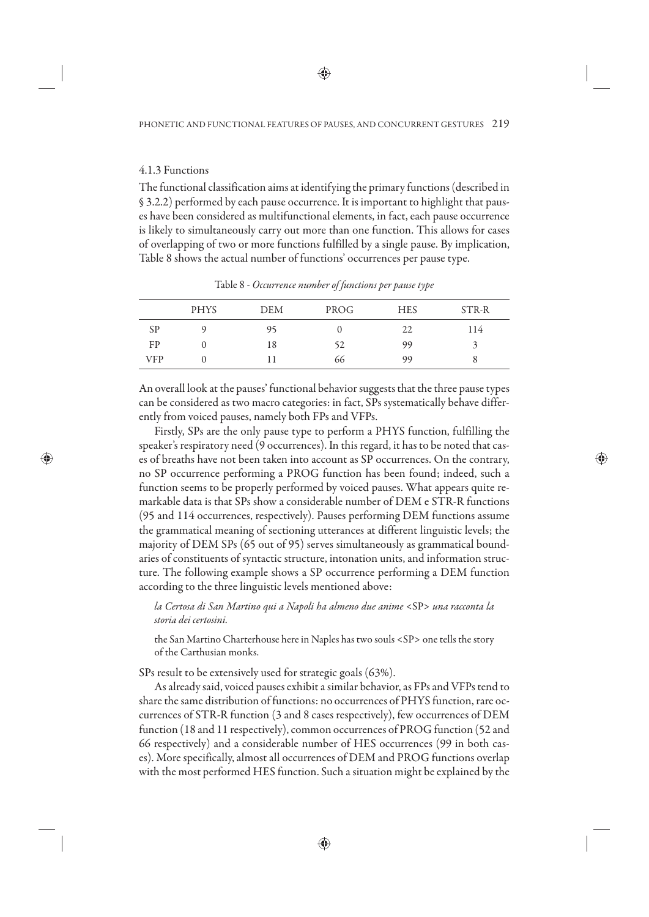#### 4.1.3 Functions

The functional classification aims at identifying the primary functions (described in § 3.2.2) performed by each pause occurrence. It is important to highlight that pauses have been considered as multifunctional elements, in fact, each pause occurrence is likely to simultaneously carry out more than one function. This allows for cases of overlapping of two or more functions fulfilled by a single pause. By implication, Table 8 shows the actual number of functions' occurrences per pause type.

|            | <b>PHYS</b> | <b>DEM</b> | PROG | <b>HES</b> | STR-R |
|------------|-------------|------------|------|------------|-------|
| <b>SP</b>  |             | 95         |      | 22         | 114   |
| FP         |             | 18         | 52   | 99         | ÷     |
| <b>VFP</b> |             |            | 66   | 99         | ð     |

Table 8 - *Occurrence number of functions per pause type*

An overall look at the pauses' functional behavior suggests that the three pause types can be considered as two macro categories: in fact, SPs systematically behave differently from voiced pauses, namely both FPs and VFPs.

Firstly, SPs are the only pause type to perform a PHYS function, fulfilling the speaker's respiratory need (9 occurrences). In this regard, it has to be noted that cases of breaths have not been taken into account as SP occurrences. On the contrary, no SP occurrence performing a PROG function has been found; indeed, such a function seems to be properly performed by voiced pauses. What appears quite remarkable data is that SPs show a considerable number of DEM e STR-R functions (95 and 114 occurrences, respectively). Pauses performing DEM functions assume the grammatical meaning of sectioning utterances at different linguistic levels; the majority of DEM SPs (65 out of 95) serves simultaneously as grammatical boundaries of constituents of syntactic structure, intonation units, and information structure. The following example shows a SP occurrence performing a DEM function according to the three linguistic levels mentioned above:

### *la Certosa di San Martino qui a Napoli ha almeno due anime* <SP> *una racconta la storia dei certosini.*

the San Martino Charterhouse here in Naples has two souls <SP> one tells the story of the Carthusian monks.

SPs result to be extensively used for strategic goals (63%).

As already said, voiced pauses exhibit a similar behavior, as FPs and VFPs tend to share the same distribution of functions: no occurrences of PHYS function, rare occurrences of STR-R function (3 and 8 cases respectively), few occurrences of DEM function (18 and 11 respectively), common occurrences of PROG function (52 and 66 respectively) and a considerable number of HES occurrences (99 in both cases). More specifically, almost all occurrences of DEM and PROG functions overlap with the most performed HES function. Such a situation might be explained by the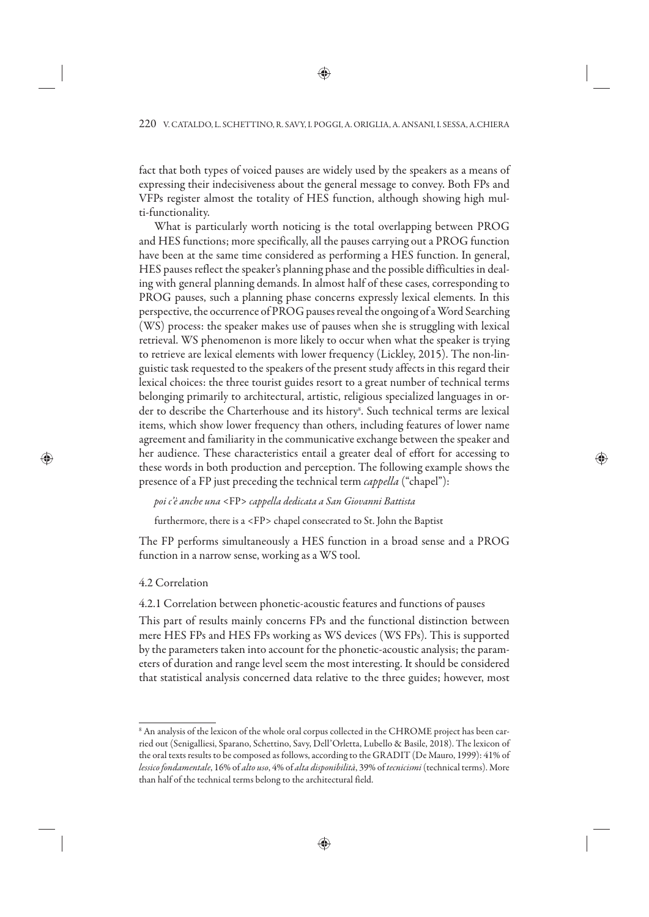fact that both types of voiced pauses are widely used by the speakers as a means of expressing their indecisiveness about the general message to convey. Both FPs and VFPs register almost the totality of HES function, although showing high multi-functionality.

What is particularly worth noticing is the total overlapping between PROG and HES functions; more specifically, all the pauses carrying out a PROG function have been at the same time considered as performing a HES function. In general, HES pauses reflect the speaker's planning phase and the possible difficulties in dealing with general planning demands. In almost half of these cases, corresponding to PROG pauses, such a planning phase concerns expressly lexical elements. In this perspective, the occurrence of PROG pauses reveal the ongoing of a Word Searching (WS) process: the speaker makes use of pauses when she is struggling with lexical retrieval. WS phenomenon is more likely to occur when what the speaker is trying to retrieve are lexical elements with lower frequency (Lickley, 2015). The non-linguistic task requested to the speakers of the present study affects in this regard their lexical choices: the three tourist guides resort to a great number of technical terms belonging primarily to architectural, artistic, religious specialized languages in order to describe the Charterhouse and its history<sup>8</sup>. Such technical terms are lexical items, which show lower frequency than others, including features of lower name agreement and familiarity in the communicative exchange between the speaker and her audience. These characteristics entail a greater deal of effort for accessing to these words in both production and perception. The following example shows the presence of a FP just preceding the technical term *cappella* ("chapel"):

### *poi c'è anche una* <FP> *cappella dedicata a San Giovanni Battista*

furthermore, there is a <FP> chapel consecrated to St. John the Baptist

The FP performs simultaneously a HES function in a broad sense and a PROG function in a narrow sense, working as a WS tool.

#### 4.2 Correlation

4.2.1 Correlation between phonetic-acoustic features and functions of pauses

This part of results mainly concerns FPs and the functional distinction between mere HES FPs and HES FPs working as WS devices (WS FPs). This is supported by the parameters taken into account for the phonetic-acoustic analysis; the parameters of duration and range level seem the most interesting. It should be considered that statistical analysis concerned data relative to the three guides; however, most

<sup>8</sup> An analysis of the lexicon of the whole oral corpus collected in the CHROME project has been carried out (Senigalliesi, Sparano, Schettino, Savy, Dell'Orletta, Lubello & Basile, 2018). The lexicon of the oral texts results to be composed as follows, according to the GRADIT (De Mauro, 1999): 41% of *lessico fondamentale*, 16% of *alto uso*, 4% of *alta disponibilità*, 39% of *tecnicismi* (technical terms). More than half of the technical terms belong to the architectural field.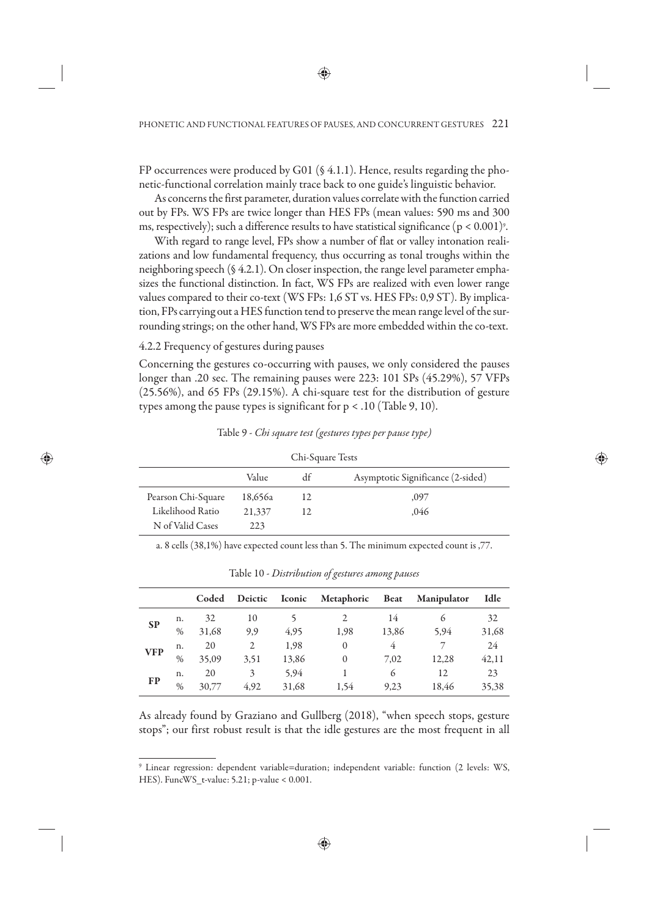FP occurrences were produced by G01 (§ 4.1.1). Hence, results regarding the phonetic-functional correlation mainly trace back to one guide's linguistic behavior.

As concerns the first parameter, duration values correlate with the function carried out by FPs. WS FPs are twice longer than HES FPs (mean values: 590 ms and 300 ms, respectively); such a difference results to have statistical significance (p < 0.001)°.

With regard to range level, FPs show a number of flat or valley intonation realizations and low fundamental frequency, thus occurring as tonal troughs within the neighboring speech (§ 4.2.1). On closer inspection, the range level parameter emphasizes the functional distinction. In fact, WS FPs are realized with even lower range values compared to their co-text (WS FPs: 1,6 ST vs. HES FPs: 0,9 ST). By implication, FPs carrying out a HES function tend to preserve the mean range level of the surrounding strings; on the other hand, WS FPs are more embedded within the co-text.

4.2.2 Frequency of gestures during pauses

Concerning the gestures co-occurring with pauses, we only considered the pauses longer than .20 sec. The remaining pauses were 223: 101 SPs (45.29%), 57 VFPs (25.56%), and 65 FPs (29.15%). A chi-square test for the distribution of gesture types among the pause types is significant for  $p < .10$  (Table 9, 10).

|  | Table 9 - Chi square test (gestures types per pause type) |  |
|--|-----------------------------------------------------------|--|
|--|-----------------------------------------------------------|--|

| Chi-Square Tests                           |         |     |      |  |  |  |  |  |
|--------------------------------------------|---------|-----|------|--|--|--|--|--|
| Asymptotic Significance (2-sided)<br>Value |         |     |      |  |  |  |  |  |
| Pearson Chi-Square                         | 18,656a | 12  | ,097 |  |  |  |  |  |
| Likelihood Ratio                           | 21,337  | 12. | .046 |  |  |  |  |  |
| N of Valid Cases                           | 223     |     |      |  |  |  |  |  |

a. 8 cells (38,1%) have expected count less than 5. The minimum expected count is ,77.

|            |      | Coded | Deictic | Iconic | Metaphoric            | <b>Beat</b> | <b>Manipulator</b> | Idle  |
|------------|------|-------|---------|--------|-----------------------|-------------|--------------------|-------|
| <b>SP</b>  | n.   | 32    | 10      |        | $\mathcal{D}_{\cdot}$ | 14          | 6                  | 32    |
|            | $\%$ | 31,68 | 9,9     | 4,95   | 1,98                  | 13,86       | 5,94               | 31,68 |
| <b>VFP</b> | n.   | 20    | 2       | 1,98   | $\mathbf{0}$          | 4           |                    | 24    |
|            | $\%$ | 35,09 | 3,51    | 13,86  | $\theta$              | 7.02        | 12,28              | 42,11 |
|            | n.   | 20    | 3       | 5,94   |                       | 6           | 12                 | 23    |
| FP         | $\%$ | 30,77 | 4.92    | 31,68  | 1,54                  | 9,23        | 18.46              | 35,38 |
|            |      |       |         |        |                       |             |                    |       |

Table 10 - *Distribution of gestures among pauses*

As already found by Graziano and Gullberg (2018), "when speech stops, gesture stops"; our first robust result is that the idle gestures are the most frequent in all

<sup>9</sup> Linear regression: dependent variable=duration; independent variable: function (2 levels: WS, HES). FuncWS\_t-value: 5.21; p-value < 0.001.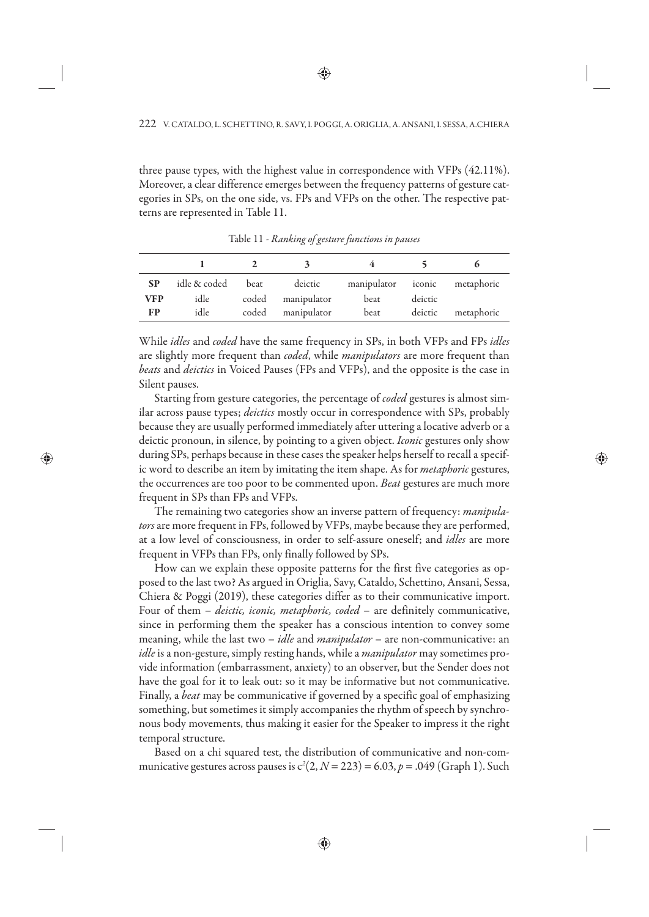three pause types, with the highest value in correspondence with VFPs (42.11%). Moreover, a clear difference emerges between the frequency patterns of gesture categories in SPs, on the one side, vs. FPs and VFPs on the other. The respective patterns are represented in Table 11.

| <b>SP</b>  | idle & coded | beat | deictic           | manipulator iconic metaphoric |         |            |
|------------|--------------|------|-------------------|-------------------------------|---------|------------|
| <b>VFP</b> | idle         |      | coded manipulator | beat                          | deictic |            |
| FP         | idle         |      | coded manipulator | beat                          | deictic | metaphoric |

Table 11 - *Ranking of gesture functions in pauses* 

While *idles* and *coded* have the same frequency in SPs, in both VFPs and FPs *idles* are slightly more frequent than *coded*, while *manipulators* are more frequent than *beats* and *deictics* in Voiced Pauses (FPs and VFPs), and the opposite is the case in Silent pauses.

Starting from gesture categories, the percentage of *coded* gestures is almost similar across pause types; *deictics* mostly occur in correspondence with SPs, probably because they are usually performed immediately after uttering a locative adverb or a deictic pronoun, in silence, by pointing to a given object. *Iconic* gestures only show during SPs, perhaps because in these cases the speaker helps herself to recall a specific word to describe an item by imitating the item shape. As for *metaphoric* gestures, the occurrences are too poor to be commented upon. *Beat* gestures are much more frequent in SPs than FPs and VFPs.

The remaining two categories show an inverse pattern of frequency: *manipulators* are more frequent in FPs, followed by VFPs, maybe because they are performed, at a low level of consciousness, in order to self-assure oneself; and *idles* are more frequent in VFPs than FPs, only finally followed by SPs.

How can we explain these opposite patterns for the first five categories as opposed to the last two? As argued in Origlia, Savy, Cataldo, Schettino, Ansani, Sessa, Chiera & Poggi (2019), these categories differ as to their communicative import. Four of them – *deictic, iconic, metaphoric, coded* – are definitely communicative, since in performing them the speaker has a conscious intention to convey some meaning, while the last two – *idle* and *manipulator* – are non-communicative: an *idle* is a non-gesture, simply resting hands, while a *manipulator* may sometimes provide information (embarrassment, anxiety) to an observer, but the Sender does not have the goal for it to leak out: so it may be informative but not communicative. Finally, a *beat* may be communicative if governed by a specific goal of emphasizing something, but sometimes it simply accompanies the rhythm of speech by synchronous body movements, thus making it easier for the Speaker to impress it the right temporal structure.

Based on a chi squared test, the distribution of communicative and non-communicative gestures across pauses is  $c^2(2, N = 223) = 6.03, p = .049$  (Graph 1). Such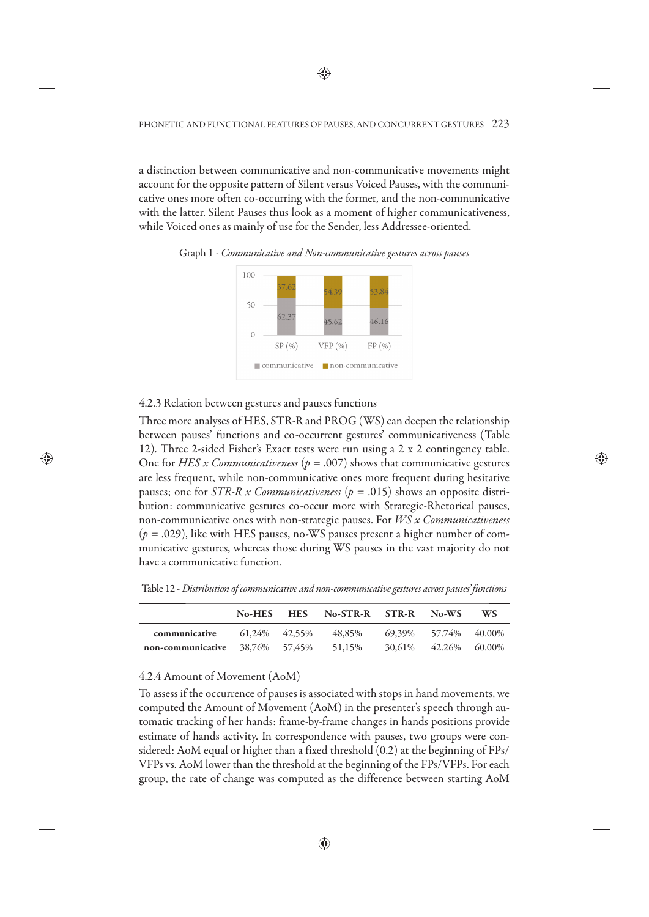a distinction between communicative and non-communicative movements might account for the opposite pattern of Silent versus Voiced Pauses, with the communicative ones more often co-occurring with the former, and the non-communicative with the latter. Silent Pauses thus look as a moment of higher communicativeness, while Voiced ones as mainly of use for the Sender, less Addressee-oriented.



Graph 1 - *Communicative and Non-communicative gestures across pauses*

## 4.2.3 Relation between gestures and pauses functions

Three more analyses of HES, STR-R and PROG (WS) can deepen the relationship between pauses' functions and co-occurrent gestures' communicativeness (Table 12). Three 2-sided Fisher's Exact tests were run using a 2 x 2 contingency table. One for *HES x Communicativeness* ( $p = .007$ ) shows that communicative gestures are less frequent, while non-communicative ones more frequent during hesitative pauses; one for *STR-R x Communicativeness* (*p* = .015) shows an opposite distribution: communicative gestures co-occur more with Strategic-Rhetorical pauses, non-communicative ones with non-strategic pauses. For *WS x Communicativeness*  $(p = .029)$ , like with HES pauses, no-WS pauses present a higher number of communicative gestures, whereas those during WS pauses in the vast majority do not have a communicative function.

Table 12 - *Distribution of communicative and non-communicative gestures across pauses' functions*

|                                    | No-HES HES    | No-STR-R STR-R |        | No-WS                | WS |
|------------------------------------|---------------|----------------|--------|----------------------|----|
| communicative                      | 61.24% 42.55% | 48.85%         | 69.39% | 57.74% 40.00%        |    |
| non-communicative $38.76\%$ 57.45% |               | 51.15%         |        | 30.61% 42.26% 60.00% |    |

## 4.2.4 Amount of Movement (AoM)

To assess if the occurrence of pauses is associated with stops in hand movements, we computed the Amount of Movement (AoM) in the presenter's speech through automatic tracking of her hands: frame-by-frame changes in hands positions provide estimate of hands activity. In correspondence with pauses, two groups were considered: AoM equal or higher than a fixed threshold (0.2) at the beginning of FPs/ VFPs vs. AoM lower than the threshold at the beginning of the FPs/VFPs. For each group, the rate of change was computed as the difference between starting AoM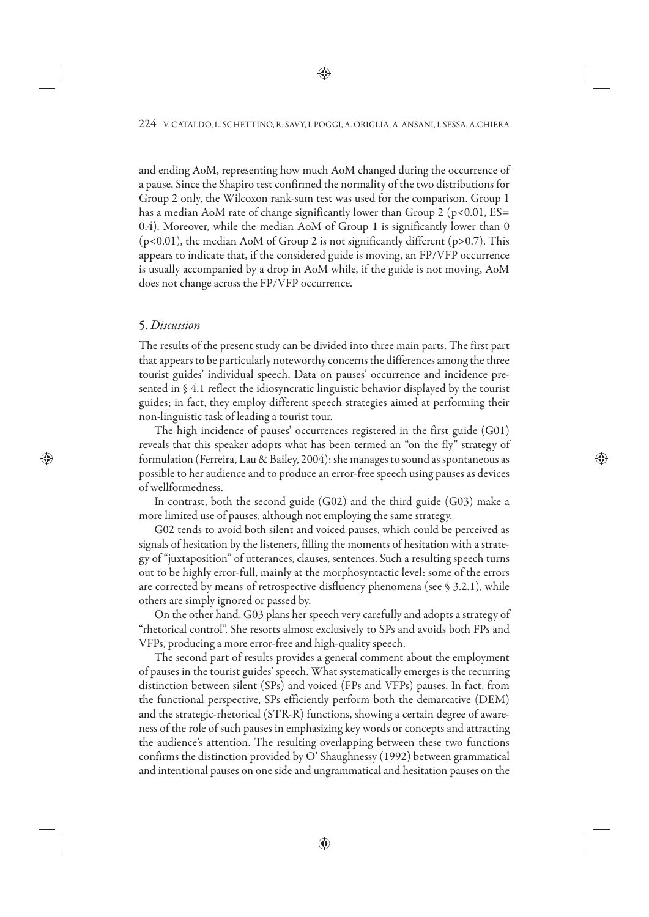and ending AoM, representing how much AoM changed during the occurrence of a pause. Since the Shapiro test confirmed the normality of the two distributions for Group 2 only, the Wilcoxon rank-sum test was used for the comparison. Group 1 has a median AoM rate of change significantly lower than Group 2 ( $p<0.01$ , ES= 0.4). Moreover, while the median AoM of Group 1 is significantly lower than 0  $(p<0.01)$ , the median AoM of Group 2 is not significantly different  $(p>0.7)$ . This appears to indicate that, if the considered guide is moving, an FP/VFP occurrence is usually accompanied by a drop in AoM while, if the guide is not moving, AoM does not change across the FP/VFP occurrence.

### 5. *Discussion*

The results of the present study can be divided into three main parts. The first part that appears to be particularly noteworthy concerns the differences among the three tourist guides' individual speech. Data on pauses' occurrence and incidence presented in § 4.1 reflect the idiosyncratic linguistic behavior displayed by the tourist guides; in fact, they employ different speech strategies aimed at performing their non-linguistic task of leading a tourist tour.

The high incidence of pauses' occurrences registered in the first guide (G01) reveals that this speaker adopts what has been termed an "on the fly" strategy of formulation (Ferreira, Lau & Bailey, 2004): she manages to sound as spontaneous as possible to her audience and to produce an error-free speech using pauses as devices of wellformedness.

In contrast, both the second guide (G02) and the third guide (G03) make a more limited use of pauses, although not employing the same strategy.

G02 tends to avoid both silent and voiced pauses, which could be perceived as signals of hesitation by the listeners, filling the moments of hesitation with a strategy of "juxtaposition" of utterances, clauses, sentences. Such a resulting speech turns out to be highly error-full, mainly at the morphosyntactic level: some of the errors are corrected by means of retrospective disfluency phenomena (see § 3.2.1), while others are simply ignored or passed by.

On the other hand, G03 plans her speech very carefully and adopts a strategy of "rhetorical control". She resorts almost exclusively to SPs and avoids both FPs and VFPs, producing a more error-free and high-quality speech.

The second part of results provides a general comment about the employment of pauses in the tourist guides' speech. What systematically emerges is the recurring distinction between silent (SPs) and voiced (FPs and VFPs) pauses. In fact, from the functional perspective, SPs efficiently perform both the demarcative (DEM) and the strategic-rhetorical (STR-R) functions, showing a certain degree of awareness of the role of such pauses in emphasizing key words or concepts and attracting the audience's attention. The resulting overlapping between these two functions confirms the distinction provided by O' Shaughnessy (1992) between grammatical and intentional pauses on one side and ungrammatical and hesitation pauses on the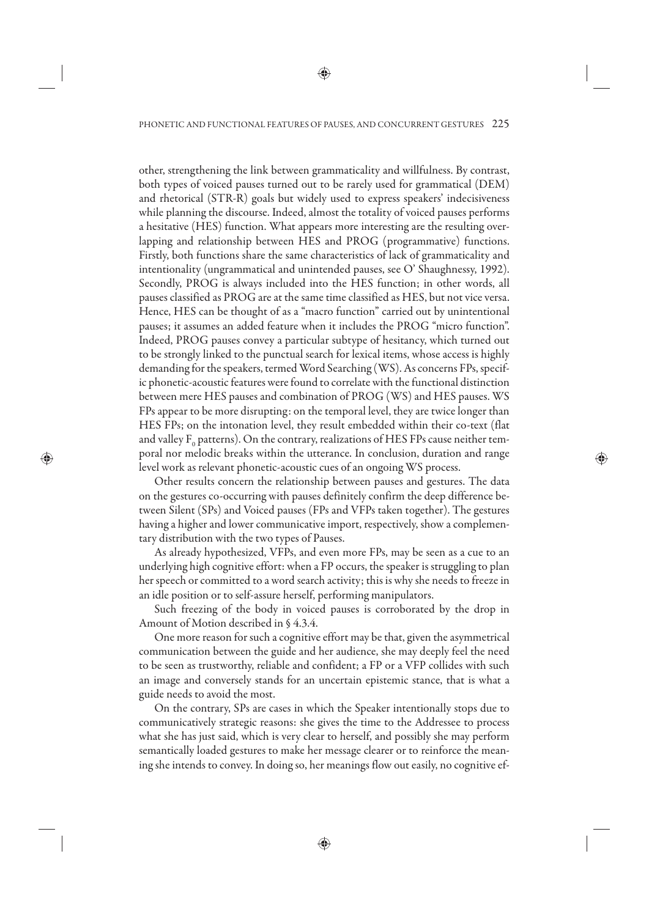other, strengthening the link between grammaticality and willfulness. By contrast, both types of voiced pauses turned out to be rarely used for grammatical (DEM) and rhetorical (STR-R) goals but widely used to express speakers' indecisiveness while planning the discourse. Indeed, almost the totality of voiced pauses performs a hesitative (HES) function. What appears more interesting are the resulting overlapping and relationship between HES and PROG (programmative) functions. Firstly, both functions share the same characteristics of lack of grammaticality and intentionality (ungrammatical and unintended pauses, see O' Shaughnessy, 1992). Secondly, PROG is always included into the HES function; in other words, all pauses classified as PROG are at the same time classified as HES, but not vice versa. Hence, HES can be thought of as a "macro function" carried out by unintentional pauses; it assumes an added feature when it includes the PROG "micro function". Indeed, PROG pauses convey a particular subtype of hesitancy, which turned out to be strongly linked to the punctual search for lexical items, whose access is highly demanding for the speakers, termed Word Searching (WS). As concerns FPs, specific phonetic-acoustic features were found to correlate with the functional distinction between mere HES pauses and combination of PROG (WS) and HES pauses. WS FPs appear to be more disrupting: on the temporal level, they are twice longer than HES FPs; on the intonation level, they result embedded within their co-text (flat and valley  $\text{F}_{{\scriptscriptstyle 0}}$  patterns). On the contrary, realizations of HES FPs cause neither temporal nor melodic breaks within the utterance. In conclusion, duration and range level work as relevant phonetic-acoustic cues of an ongoing WS process.

Other results concern the relationship between pauses and gestures. The data on the gestures co-occurring with pauses definitely confirm the deep difference between Silent (SPs) and Voiced pauses (FPs and VFPs taken together). The gestures having a higher and lower communicative import, respectively, show a complementary distribution with the two types of Pauses.

As already hypothesized, VFPs, and even more FPs, may be seen as a cue to an underlying high cognitive effort: when a FP occurs, the speaker is struggling to plan her speech or committed to a word search activity; this is why she needs to freeze in an idle position or to self-assure herself, performing manipulators.

Such freezing of the body in voiced pauses is corroborated by the drop in Amount of Motion described in § 4.3.4.

One more reason for such a cognitive effort may be that, given the asymmetrical communication between the guide and her audience, she may deeply feel the need to be seen as trustworthy, reliable and confident; a FP or a VFP collides with such an image and conversely stands for an uncertain epistemic stance, that is what a guide needs to avoid the most.

On the contrary, SPs are cases in which the Speaker intentionally stops due to communicatively strategic reasons: she gives the time to the Addressee to process what she has just said, which is very clear to herself, and possibly she may perform semantically loaded gestures to make her message clearer or to reinforce the meaning she intends to convey. In doing so, her meanings flow out easily, no cognitive ef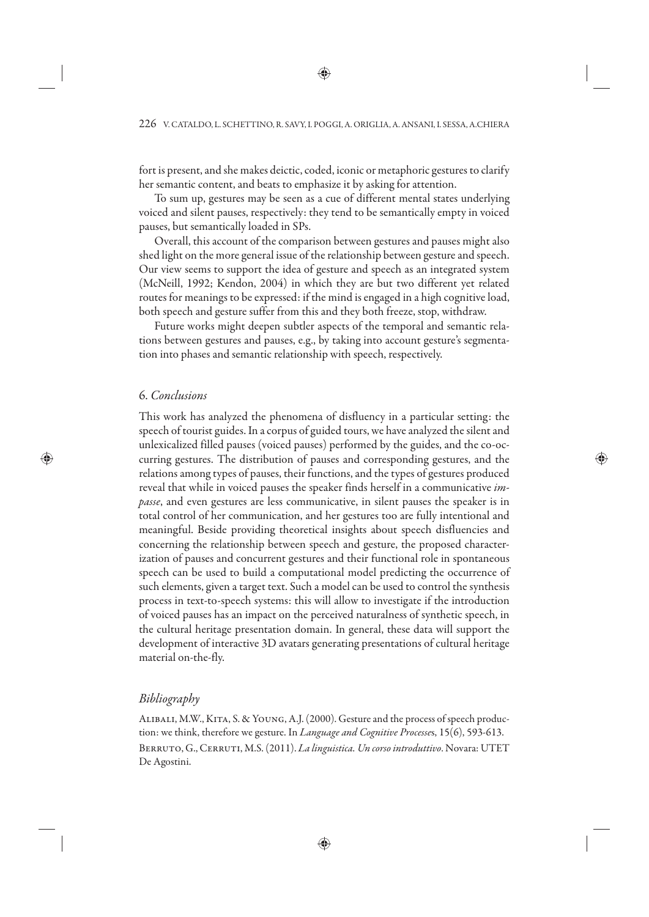fort is present, and she makes deictic, coded, iconic or metaphoric gestures to clarify her semantic content, and beats to emphasize it by asking for attention.

To sum up, gestures may be seen as a cue of different mental states underlying voiced and silent pauses, respectively: they tend to be semantically empty in voiced pauses, but semantically loaded in SPs.

Overall, this account of the comparison between gestures and pauses might also shed light on the more general issue of the relationship between gesture and speech. Our view seems to support the idea of gesture and speech as an integrated system (McNeill, 1992; Kendon, 2004) in which they are but two different yet related routes for meanings to be expressed: if the mind is engaged in a high cognitive load, both speech and gesture suffer from this and they both freeze, stop, withdraw.

Future works might deepen subtler aspects of the temporal and semantic relations between gestures and pauses, e.g., by taking into account gesture's segmentation into phases and semantic relationship with speech, respectively.

### 6. *Conclusions*

This work has analyzed the phenomena of disfluency in a particular setting: the speech of tourist guides. In a corpus of guided tours, we have analyzed the silent and unlexicalized filled pauses (voiced pauses) performed by the guides, and the co-occurring gestures. The distribution of pauses and corresponding gestures, and the relations among types of pauses, their functions, and the types of gestures produced reveal that while in voiced pauses the speaker finds herself in a communicative *impasse*, and even gestures are less communicative, in silent pauses the speaker is in total control of her communication, and her gestures too are fully intentional and meaningful. Beside providing theoretical insights about speech disfluencies and concerning the relationship between speech and gesture, the proposed characterization of pauses and concurrent gestures and their functional role in spontaneous speech can be used to build a computational model predicting the occurrence of such elements, given a target text. Such a model can be used to control the synthesis process in text-to-speech systems: this will allow to investigate if the introduction of voiced pauses has an impact on the perceived naturalness of synthetic speech, in the cultural heritage presentation domain. In general, these data will support the development of interactive 3D avatars generating presentations of cultural heritage material on-the-fly.

# *Bibliography*

ALIBALI, M.W., KITA, S. & YOUNG, A.J. (2000). Gesture and the process of speech production: we think, therefore we gesture. In *Language and Cognitive Processe*s, 15(6), 593-613. Berruto, G., Cerruti, M.S. (2011). *La linguistica. Un corso introduttivo*. Novara: UTET De Agostini.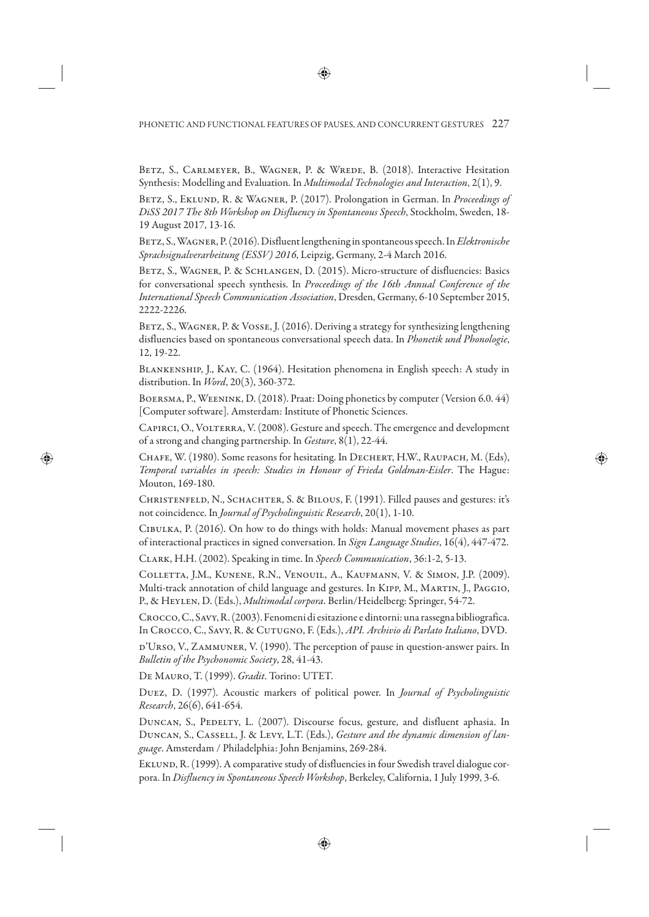Betz, S., Carlmeyer, B., Wagner, P. & Wrede, B. (2018). Interactive Hesitation Synthesis: Modelling and Evaluation. In *Multimodal Technologies and Interaction*, 2(1), 9.

BETZ, S., EKLUND, R. & WAGNER, P. (2017). Prolongation in German. In *Proceedings of DiSS 2017 The 8th Workshop on Disfluency in Spontaneous Speech*, Stockholm, Sweden, 18- 19 August 2017, 13-16.

Betz, S., Wagner, P. (2016).Disfluent lengthening in spontaneous speech. In *Elektronische Sprachsignalverarbeitung (ESSV) 2016*, Leipzig, Germany, 2-4 March 2016.

BETZ, S., WAGNER, P. & SCHLANGEN, D. (2015). Micro-structure of disfluencies: Basics for conversational speech synthesis. In *Proceedings of the 16th Annual Conference of the International Speech Communication Association*, Dresden, Germany, 6-10 September 2015, 2222-2226.

BETZ, S., WAGNER, P. & VOSSE, J. (2016). Deriving a strategy for synthesizing lengthening disfluencies based on spontaneous conversational speech data. In *Phonetik und Phonologie*, 12, 19-22.

Blankenship, J., Kay, C. (1964). Hesitation phenomena in English speech: A study in distribution. In *Word*, 20(3), 360-372.

Boersma, P., Weenink, D. (2018). Praat: Doing phonetics by computer (Version 6.0. 44) [Computer software]. Amsterdam: Institute of Phonetic Sciences.

Capirci, O., Volterra, V. (2008). Gesture and speech. The emergence and development of a strong and changing partnership. In *Gesture*, 8(1), 22-44.

CHAFE, W. (1980). Some reasons for hesitating. In DECHERT, H.W., RAUPACH, M. (Eds), *Temporal variables in speech: Studies in Honour of Frieda Goldman-Eisler*. The Hague: Mouton, 169-180.

CHRISTENFELD, N., SCHACHTER, S. & BILOUS, F. (1991). Filled pauses and gestures: it's not coincidence. In *Journal of Psycholinguistic Research*, 20(1), 1-10.

Cibulka, P. (2016). On how to do things with holds: Manual movement phases as part of interactional practices in signed conversation. In *Sign Language Studies*, 16(4), 447-472.

Clark, H.H. (2002). Speaking in time. In *Speech Communication*, 36:1-2, 5-13.

Colletta, J.M., Kunene, R.N., Venouil, A., Kaufmann, V. & Simon, J.P. (2009). Multi-track annotation of child language and gestures. In Kipp, M., Martin, J., Paggio, P., & Heylen, D. (Eds.), *Multimodal corpora*. Berlin/Heidelberg: Springer, 54-72.

Crocco, C., Savy, R. (2003). Fenomeni di esitazione e dintorni: una rassegna bibliografica. In Crocco, C., Savy, R. & Cutugno, F. (Eds.), *API. Archivio di Parlato Italiano*, DVD.

D'URSO, V., ZAMMUNER, V. (1990). The perception of pause in question-answer pairs. In *Bulletin of the Psychonomic Society*, 28, 41-43.

De Mauro, T. (1999). *Gradit*. Torino: UTET.

Duez, D. (1997). Acoustic markers of political power. In *Journal of Psycholinguistic Research*, 26(6), 641-654.

DUNCAN, S., PEDELTY, L. (2007). Discourse focus, gesture, and disfluent aphasia. In Duncan, S., Cassell, J. & Levy, L.T. (Eds.), *Gesture and the dynamic dimension of language*. Amsterdam / Philadelphia: John Benjamins, 269-284.

EKLUND, R. (1999). A comparative study of disfluencies in four Swedish travel dialogue corpora. In *Disfluency in Spontaneous Speech Workshop*, Berkeley, California, 1 July 1999, 3-6.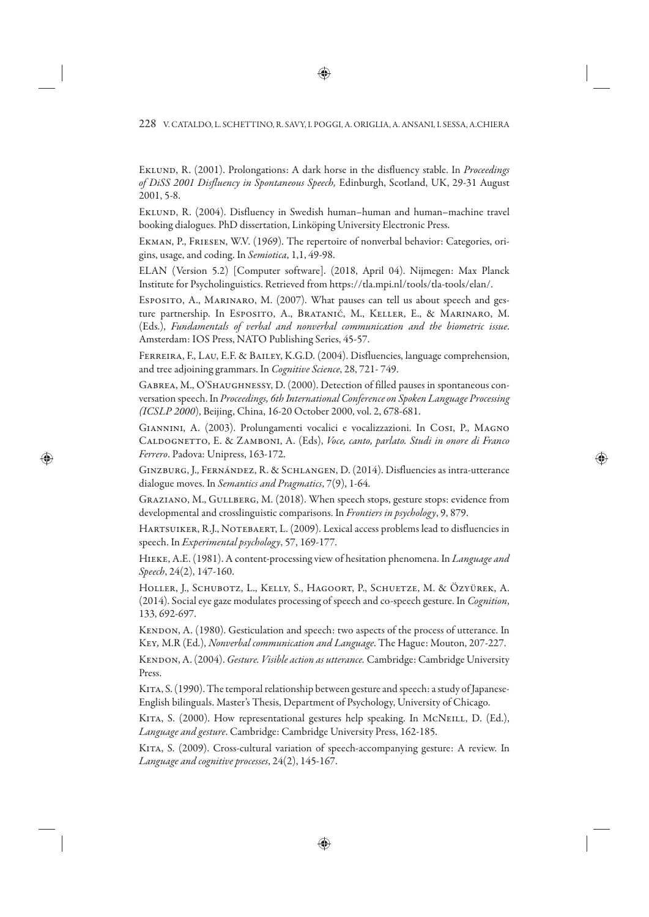Eklund, R. (2001). Prolongations: A dark horse in the disfluency stable. In *Proceedings of DiSS 2001 Disfluency in Spontaneous Speech,* Edinburgh, Scotland, UK, 29-31 August 2001, 5-8.

EKLUND, R. (2004). Disfluency in Swedish human–human and human–machine travel booking dialogues. PhD dissertation, Linköping University Electronic Press.

Ekman, P., Friesen, W.V. (1969). The repertoire of nonverbal behavior: Categories, origins, usage, and coding. In *Semiotica*, 1,1, 49-98.

ELAN (Version 5.2) [Computer software]. (2018, April 04). Nijmegen: Max Planck Institute for Psycholinguistics. Retrieved from https://tla.mpi.nl/tools/tla-tools/elan/.

ESPOSITO, A., MARINARO, M. (2007). What pauses can tell us about speech and gesture partnership. In Esposito, A., Bratanić, M., Keller, E., & Marinaro, M. (Eds.), *Fundamentals of verbal and nonverbal communication and the biometric issue*. Amsterdam: IOS Press, NATO Publishing Series, 45-57.

Ferreira, F., Lau, E.F. & Bailey, K.G.D. (2004). Disfluencies, language comprehension, and tree adjoining grammars. In *Cognitive Science*, 28, 721- 749.

GABREA, M., O'SHAUGHNESSY, D. (2000). Detection of filled pauses in spontaneous conversation speech. In *Proceedings, 6th International Conference on Spoken Language Processing (ICSLP 2000*), Beijing, China, 16-20 October 2000, vol. 2, 678-681.

Giannini, A. (2003). Prolungamenti vocalici e vocalizzazioni. In Cosi, P., Magno Caldognetto, E. & Zamboni, A. (Eds), *Voce, canto, parlato. Studi in onore di Franco Ferrero*. Padova: Unipress, 163-172.

Ginzburg, J., Fernández, R. & Schlangen, D. (2014). Disfluencies as intra-utterance dialogue moves. In *Semantics and Pragmatics*, 7(9), 1-64.

Graziano, M., Gullberg, M. (2018). When speech stops, gesture stops: evidence from developmental and crosslinguistic comparisons. In *Frontiers in psychology*, 9, 879.

HARTSUIKER, R.J., NOTEBAERT, L. (2009). Lexical access problems lead to disfluencies in speech. In *Experimental psychology*, 57, 169-177.

Hieke, A.E. (1981). A content-processing view of hesitation phenomena. In *Language and Speech*, 24(2), 147-160.

Holler, J., Schubotz, L., Kelly, S., Hagoort, P., Schuetze, M. & Özyürek, A. (2014). Social eye gaze modulates processing of speech and co-speech gesture. In *Cognition*, 133, 692-697.

KENDON, A. (1980). Gesticulation and speech: two aspects of the process of utterance. In Key*,* M.R (Ed.), *Nonverbal communication and Language*. The Hague: Mouton, 207-227.

Kendon, A. (2004). *Gesture. Visible action as utterance.* Cambridge: Cambridge University Press.

KITA, S. (1990). The temporal relationship between gesture and speech: a study of Japanese-English bilinguals. Master's Thesis, Department of Psychology, University of Chicago.

KITA, S. (2000). How representational gestures help speaking. In MCNEILL, D. (Ed.), *Language and gesture*. Cambridge: Cambridge University Press, 162-185.

KITA, S. (2009). Cross-cultural variation of speech-accompanying gesture: A review. In *Language and cognitive processes*, 24(2), 145-167.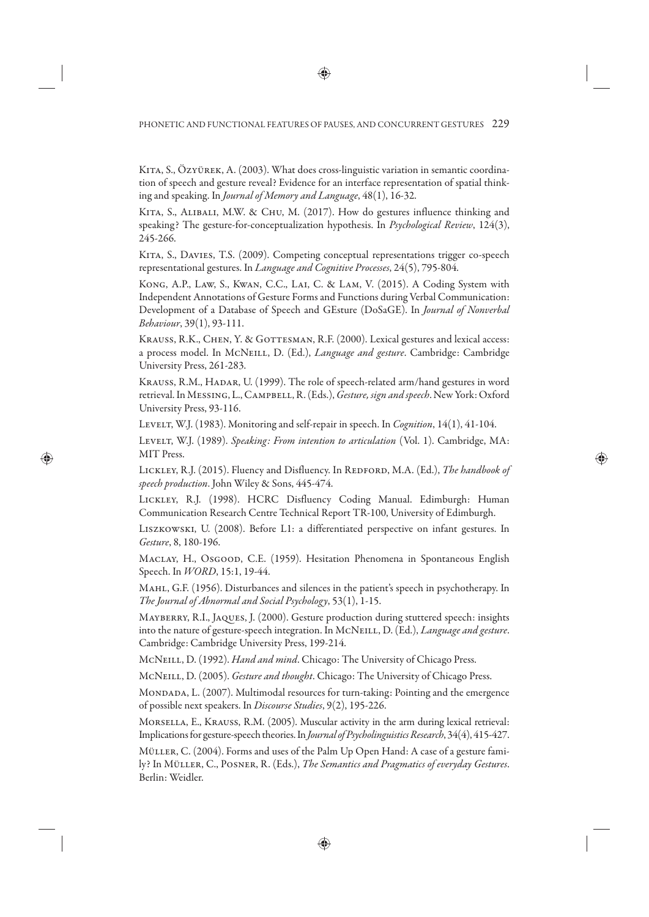Kita, S., Özyürek, A. (2003). What does cross-linguistic variation in semantic coordination of speech and gesture reveal? Evidence for an interface representation of spatial thinking and speaking. In *Journal of Memory and Language*, 48(1), 16-32.

KITA, S., ALIBALI, M.W. & CHU, M. (2017). How do gestures influence thinking and speaking? The gesture-for-conceptualization hypothesis. In *Psychological Review*, 124(3), 245-266.

Kita, S., Davies, T.S. (2009). Competing conceptual representations trigger co-speech representational gestures. In *Language and Cognitive Processes*, 24(5), 795-804.

Kong, A.P., Law, S., Kwan, C.C., Lai, C. & Lam, V. (2015). A Coding System with Independent Annotations of Gesture Forms and Functions during Verbal Communication: Development of a Database of Speech and GEsture (DoSaGE). In *Journal of Nonverbal Behaviour*, 39(1), 93-111.

KRAUSS, R.K., CHEN, Y. & GOTTESMAN, R.F. (2000). Lexical gestures and lexical access: a process model. In McNeill, D. (Ed.), *Language and gesture*. Cambridge: Cambridge University Press, 261-283.

KRAUSS, R.M., HADAR, U. (1999). The role of speech-related arm/hand gestures in word retrieval. In Messing, L., Campbell, R. (Eds.), *Gesture, sign and speech*. New York: Oxford University Press, 93-116.

Levelt, W.J. (1983). Monitoring and self-repair in speech. In *Cognition*, 14(1), 41-104.

Levelt, W.J. (1989). *Speaking: From intention to articulation* (Vol. 1). Cambridge, MA: MIT Press.

LICKLEY, R.J. (2015). Fluency and Disfluency. In REDFORD, M.A. (Ed.), *The handbook of speech production*. John Wiley & Sons, 445-474.

Lickley, R.J. (1998). HCRC Disfluency Coding Manual. Edimburgh: Human Communication Research Centre Technical Report TR-100, University of Edimburgh.

Liszkowski, U. (2008). Before L1: a differentiated perspective on infant gestures. In *Gesture*, 8, 180-196.

Maclay, H., Osgood, C.E. (1959). Hesitation Phenomena in Spontaneous English Speech. In *WORD*, 15:1, 19-44.

MAHL, G.F. (1956). Disturbances and silences in the patient's speech in psychotherapy. In *The Journal of Abnormal and Social Psychology*, 53(1), 1-15.

Mayberry, R.I., Jaques, J. (2000). Gesture production during stuttered speech: insights into the nature of gesture-speech integration. In McNeill, D. (Ed.), *Language and gesture*. Cambridge: Cambridge University Press, 199-214.

McNeill, D. (1992). *Hand and mind*. Chicago: The University of Chicago Press.

McNeill, D. (2005). *Gesture and thought*. Chicago: The University of Chicago Press.

Mondada, L. (2007). Multimodal resources for turn-taking: Pointing and the emergence of possible next speakers. In *Discourse Studies*, 9(2), 195-226.

Morsella, E., Krauss, R.M. (2005). Muscular activity in the arm during lexical retrieval: Implications for gesture-speech theories. In *Journal of Psycholinguistics Research*, 34(4), 415-427.

Müller, C. (2004). Forms and uses of the Palm Up Open Hand: A case of a gesture family? In Müller, C., Posner, R. (Eds.), *The Semantics and Pragmatics of everyday Gestures*. Berlin: Weidler.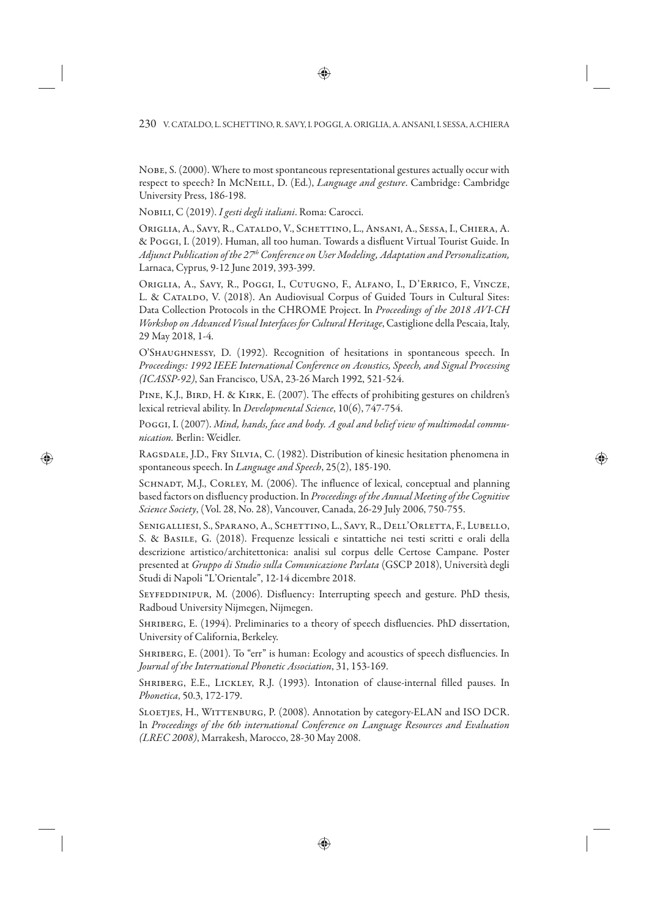Nobe, S. (2000). Where to most spontaneous representational gestures actually occur with respect to speech? In McNeill, D. (Ed.), *Language and gesture*. Cambridge: Cambridge University Press, 186-198.

Nobili, C (2019). *I gesti degli italiani*. Roma: Carocci.

Origlia, A., Savy, R., Cataldo, V., Schettino, L., Ansani, A., Sessa, I., Chiera, A. & Poggi, I. (2019). Human, all too human. Towards a disfluent Virtual Tourist Guide. In *Adjunct Publication of the 27th Conference on User Modeling, Adaptation and Personalization,*  Larnaca, Cyprus, 9-12 June 2019, 393-399.

Origlia, A., Savy, R., Poggi, I., Cutugno, F., Alfano, I., D'Errico, F., Vincze, L. & CATALDO, V. (2018). An Audiovisual Corpus of Guided Tours in Cultural Sites: Data Collection Protocols in the CHROME Project. In *Proceedings of the 2018 AVI-CH Workshop on Advanced Visual Interfaces for Cultural Heritage*, Castiglione della Pescaia, Italy, 29 May 2018, 1-4.

O'Shaughnessy, D. (1992). Recognition of hesitations in spontaneous speech. In *Proceedings: 1992 IEEE International Conference on Acoustics, Speech, and Signal Processing (ICASSP-92)*, San Francisco, USA, 23-26 March 1992, 521-524.

PINE, K.J., BIRD, H. & KIRK, E. (2007). The effects of prohibiting gestures on children's lexical retrieval ability. In *Developmental Science*, 10(6), 747-754.

Poggi, I. (2007). *Mind, hands, face and body. A goal and belief view of multimodal communication.* Berlin: Weidler.

Ragsdale, J.D., Fry Silvia, C. (1982). Distribution of kinesic hesitation phenomena in spontaneous speech. In *Language and Speech*, 25(2), 185-190.

SCHNADT, M.J., CORLEY, M. (2006). The influence of lexical, conceptual and planning based factors on disfluency production. In *Proceedings of the Annual Meeting of the Cognitive Science Society*, (Vol. 28, No. 28), Vancouver, Canada, 26-29 July 2006, 750-755.

SENIGALLIESI, S., SPARANO, A., SCHETTINO, L., SAVY, R., DELL'ORLETTA, F., LUBELLO, S. & Basile, G. (2018). Frequenze lessicali e sintattiche nei testi scritti e orali della descrizione artistico/architettonica: analisi sul corpus delle Certose Campane. Poster presented at *Gruppo di Studio sulla Comunicazione Parlata* (GSCP 2018), Università degli Studi di Napoli "L'Orientale", 12-14 dicembre 2018.

SEYFEDDINIPUR, M. (2006). Disfluency: Interrupting speech and gesture. PhD thesis, Radboud University Nijmegen, Nijmegen.

SHRIBERG, E. (1994). Preliminaries to a theory of speech disfluencies. PhD dissertation, University of California, Berkeley.

SHRIBERG, E. (2001). To "err" is human: Ecology and acoustics of speech disfluencies. In *Journal of the International Phonetic Association*, 31, 153-169.

SHRIBERG, E.E., LICKLEY, R.J. (1993). Intonation of clause-internal filled pauses. In *Phonetica*, 50.3, 172-179.

Sloetjes, H., Wittenburg, P. (2008). Annotation by category-ELAN and ISO DCR. In *Proceedings of the 6th international Conference on Language Resources and Evaluation (LREC 2008)*, Marrakesh, Marocco, 28-30 May 2008.